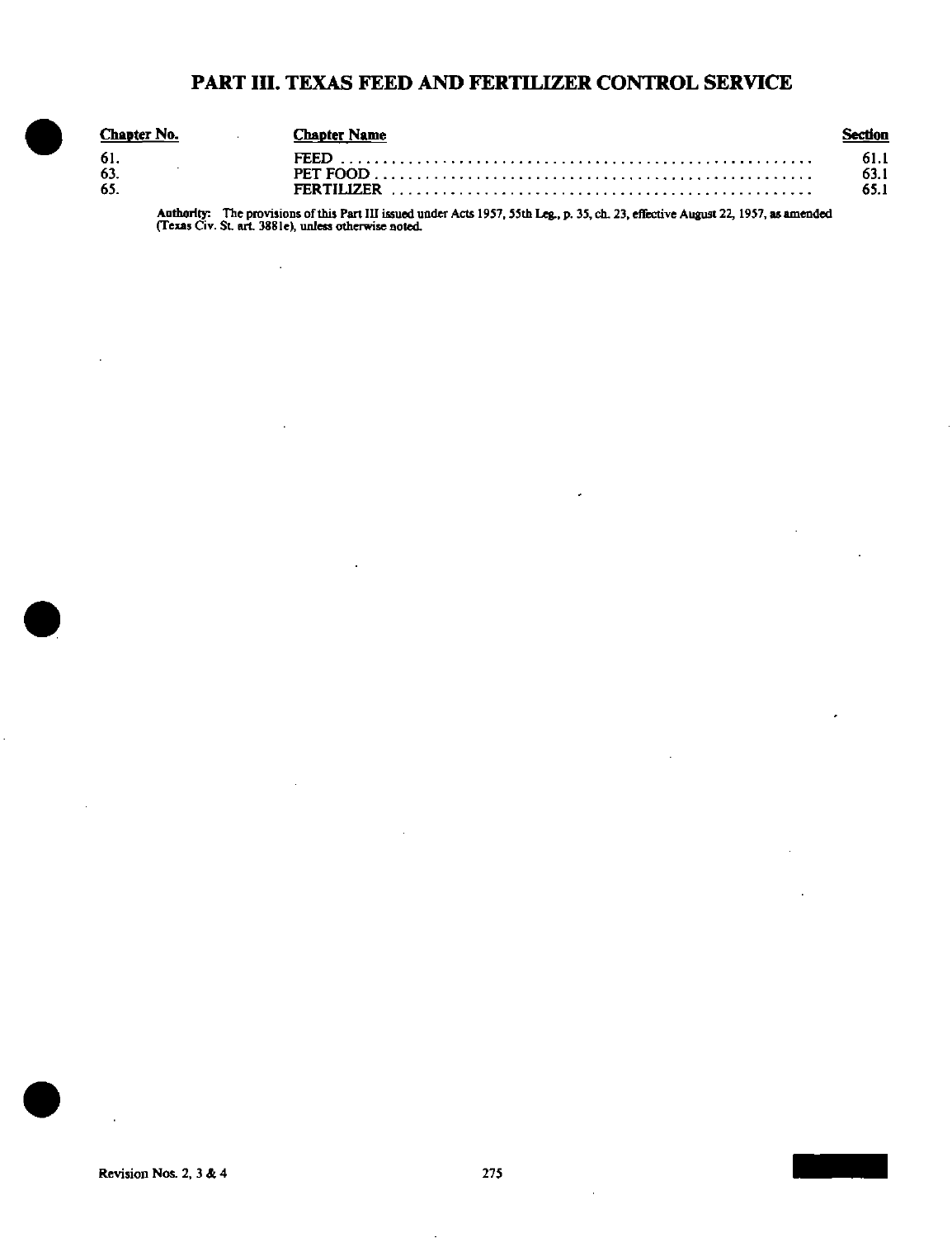# PART III, TEXAS FEED AND FERTILIZER CONTROL SERVICE

| Chapter No. | <b>Chapter Name</b> |      |
|-------------|---------------------|------|
| 01.         |                     | 61.1 |
| 63.         |                     | 63.1 |
|             |                     |      |
|             |                     |      |

Aathority: The provisions of this Part lU issued uader Acts 19S7, 5Sth Leg., p. 35, ch. 23, efiective August 22, 1957, as amended (Texas Civ. St. art 3881e), unless otherwise noted.

l.

 $\mathcal{L}_{\mathcal{A}}$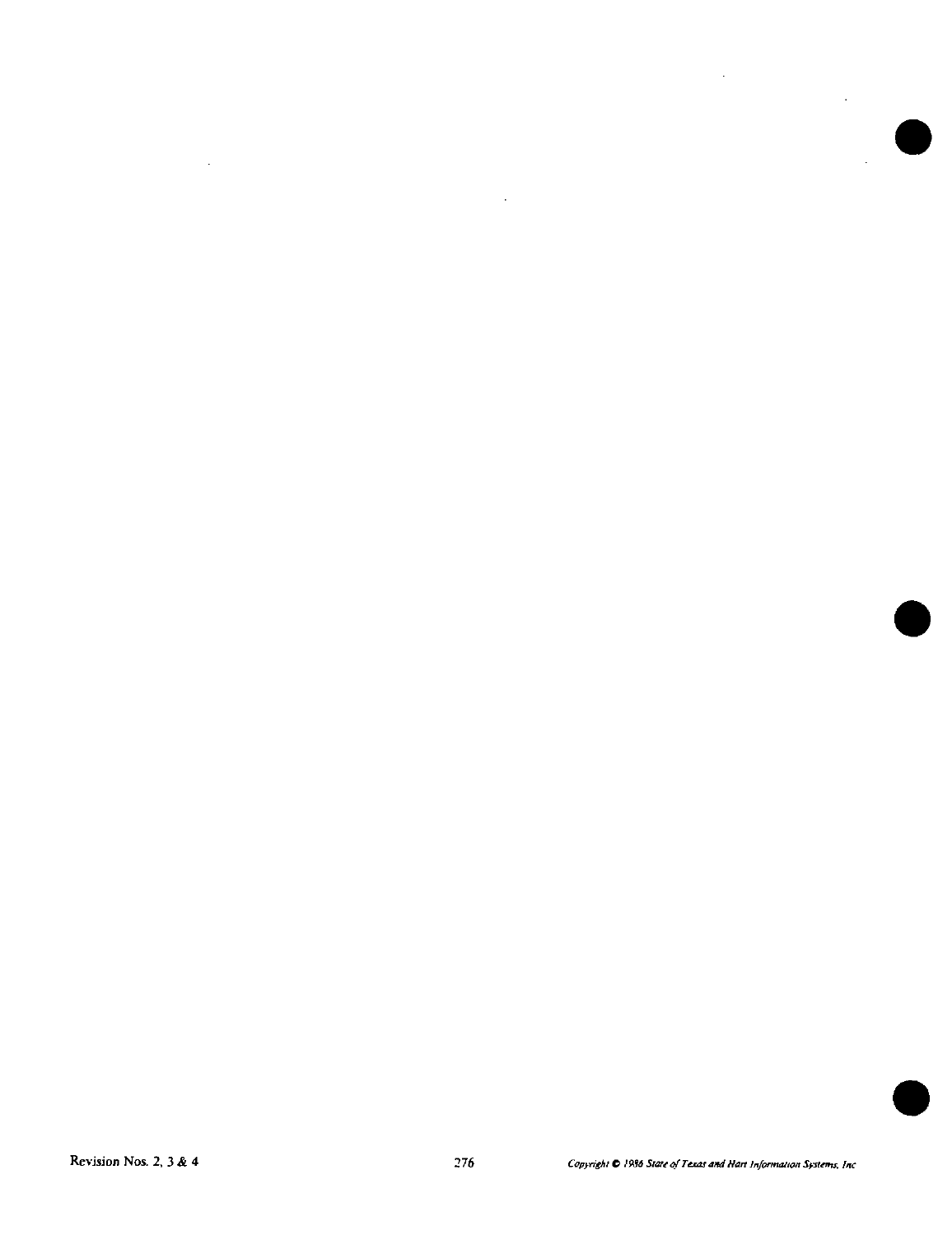

 $\overline{a}$ 

 $\ddot{\phantom{a}}$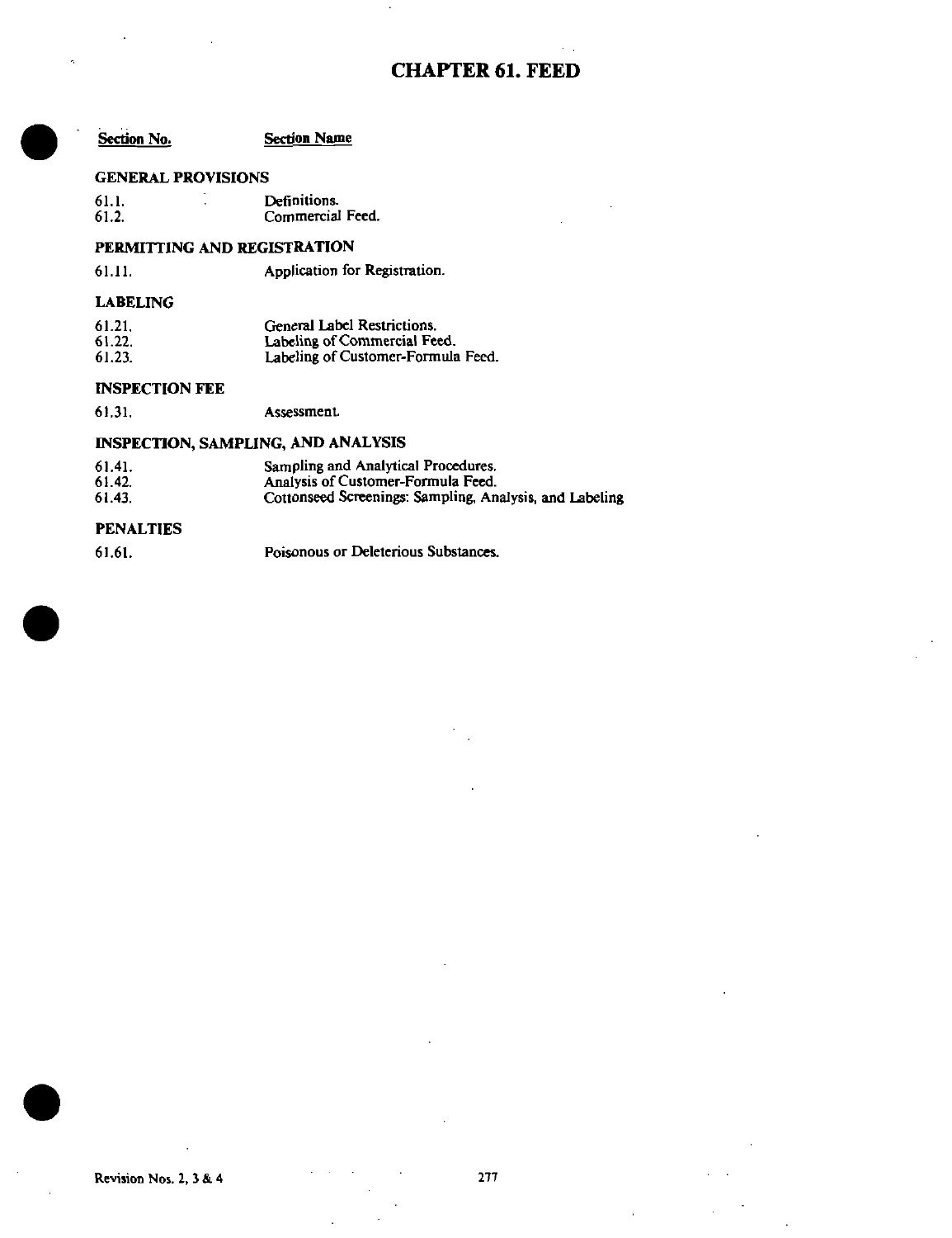# CHAPTER 61. FEED

# Section No. Section Name

## GENERAL PROVISIONS

| 61. I. | Definitions.     |
|--------|------------------|
| 61.2.  | Commercial Feed. |

## PERMITTING AND REGISTRATION

61.11. Application for Registration.

# LABELING

| 61.21. | General Label Restrictions.        |
|--------|------------------------------------|
| 61.22. | Labeling of Commercial Feed.       |
| 61.23. | Labeling of Customer-Formula Feed. |

## INSPECTION FEE

## INSPECTION, SAMPLING, AND ANALYSIS

| 61.41. | Sampling and Analytical Procedures.                     |
|--------|---------------------------------------------------------|
| 61.42. | Analysis of Customer-Formula Feed.                      |
| 61.43. | Cottonseed Screenings: Sampling, Analysis, and Labeling |

## PENALTIES

| 61.61. | Poisonous or Deleterious Substances. |  |
|--------|--------------------------------------|--|
|        |                                      |  |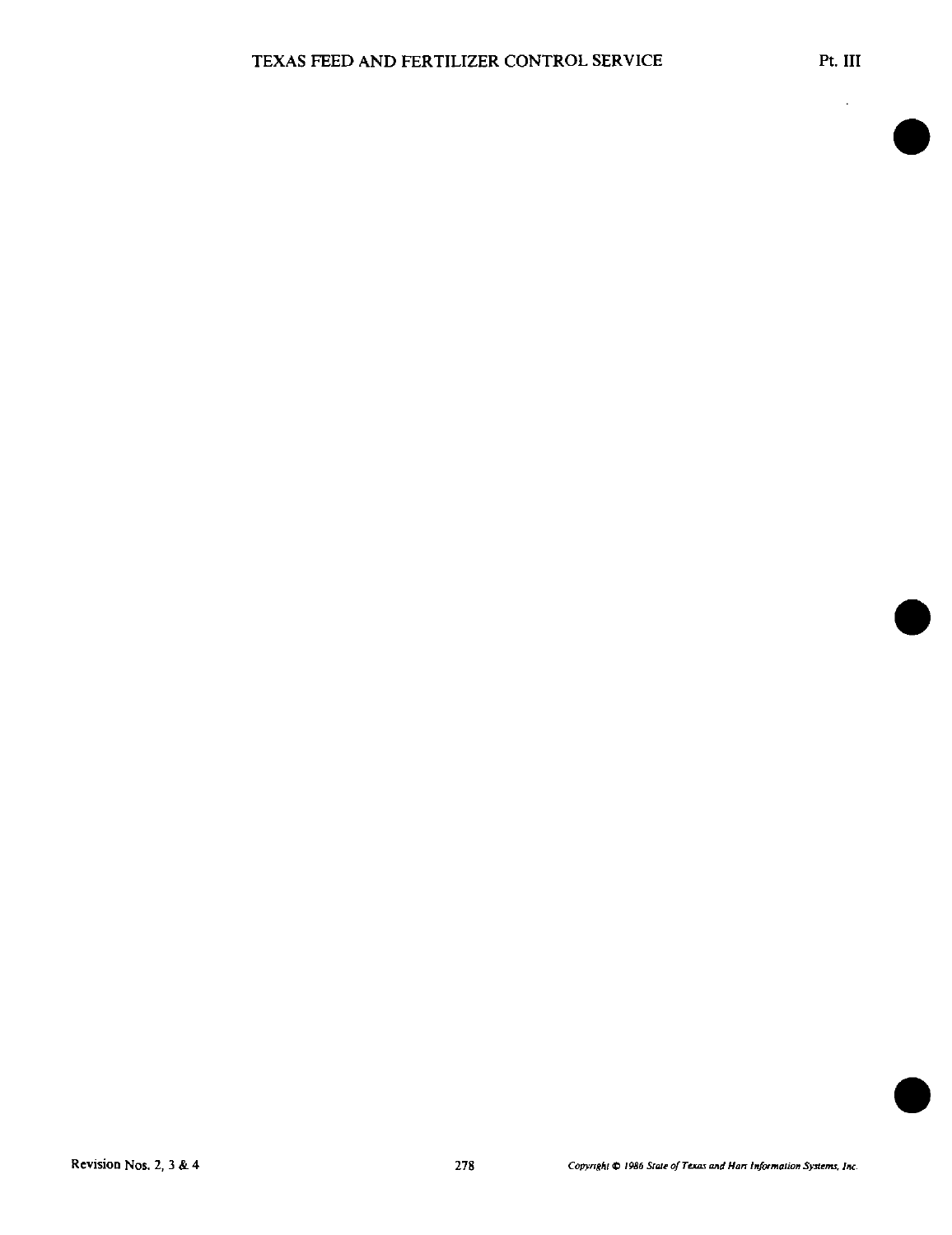$\bar{\mathcal{L}}$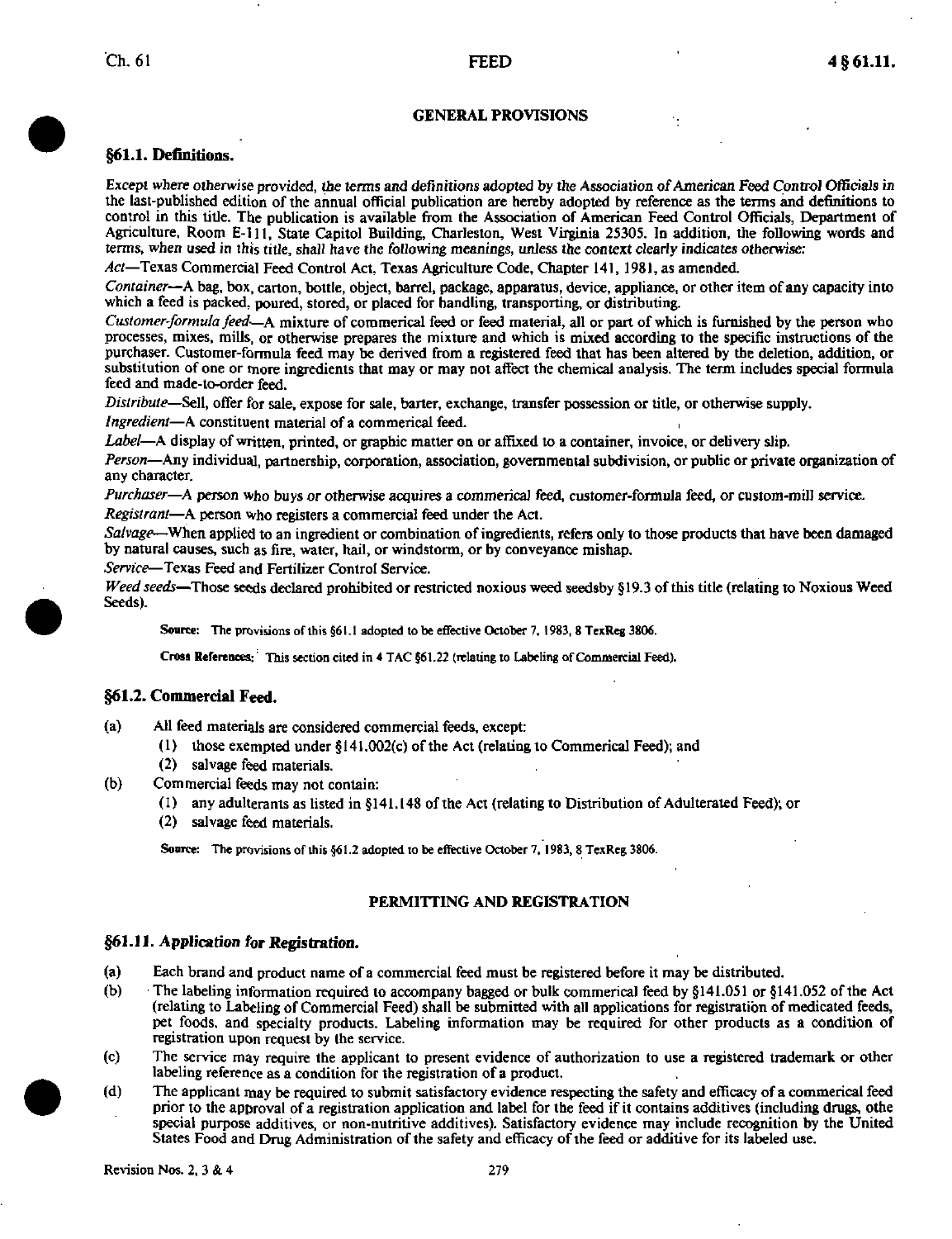#### GENERAL PROVISIONS

## §61.1. Delinitions.

Except where otherwise provided, the terms and definitions adopted by the Association of American Feed Control Officials in the last-published edition of the annual official publication are hereby adopted by reference as the terms and definitions to control in this title. The publication is available from the Association of American Feed Control Officials, Department of Agriculture, Room E-lll, State Capitol Building, Charieston, West Virginia 25305. In addition, the following words and terms, when used in this title, shall have the following meanings, unless the context clearly indicates otberwise:

^f^—Texas Commercial Feed Control Act, Texas Agriculture Code, Chapter 141, 1981, as amended.

Container—A bag, box, carton, bottle, object, barrel, package, apparatus, device, appliance, or other item of any capacity into which a feed is packed, poured, stored, or placed for handling, transporting, or distributing.

Customer-formula feed—A mixture of commerical feed or feed material, all or part of which is furnished by the person who processes, mixes, mills, or otherwise prepares the mixture and which is mixed according to the specific instructions of the purchaser. Customer-formula feed may be derived from a registered feed that has been altered by the deletion, addition, or substitution of one or more ingredients that may or may not affect the chemical analysis. The term includes special formula feed and made-to-order feed.

Distribute—Sell, offer for sale, expose for sale, barter, exchange, transfer possession or title, or otherwise supply.

Ingredient—A constituent material of a commerical feed. ,

Label—A display of written, printed, or graphic matter on or affixed to a container, invoice, or delivery slip.

Person—Any individual, partnership, corporation, association, governmental subdivision, or public or private organization of any character.

Purchaser—A person who buys or otherwise acquires a commerical feed, customer-formula feed, or custom-mill service.

Registrant—A person who registers a commercial feed under the Act.

Salvage—When applied to an ingredient or combination of ingredients, refers only to those products that have been damaged by natural causes, such as fire, water, hail, or windstorm, or by conveyance mishap.

Service-Texas Feed and Fertilizer Control Service.

Weed seeds—Those seeds declared prohibited or restricted noxious weed seedsby §19.3 of this title (relating to Noxious Weed Seeds).

Source: The provisions of this §61.1 adopted to be effective October 7, 1983, 8 TexReg 3806.

Cros\$ References: This section cited in 4 TAC §61.22 (relating to Labeling of Commercial Feed).

### §61.2. Commercial Feed.

- (a) All feed materials are considered commercial feeds, except:
	- (1) those exempted under § 141,002(c) of the Act (relating to Commerical Feed); and
	- (2) salvage feed materials.
- (b) Commercial feeds may not contain:
	- (1) any adulterants as listed in §141.148 of the Act (relating to Distribution of Adulterated Feed); or
	- (2) salvage feed materials.

Source: The provisions of this §61.2 adopted to be effective October 7, 1983, 8 TexRcg 3806.

## PERMITTING AND REGISTRATION

#### §61.11. Application for Registration.

- (a) Each brand and product name of a commercial feed must be registered before it may be distributed.
- (b) The labeling information required to accompany bagged or bulk commerical feed by §141.051 or §141.052 of the Act (relating to Labeling of Commercial Feed) shall be submitted with all applications for registration of medicated feeds, pet foods, and specialty products. Labeling information may be required for other products as a condition of registration upon request by the service.
- (c) The service may require the applicant to present evidence of authorization to use a registered trademark or other labeling reference as a condition for the registration of a product.
- (d) The applicant may be required to submit satisfactory evidence respecting the safety and efficacy of a commerical feed prior to the approval of a registration application and label for the feed if it contains additives (including drugs, othe special purpose additives, or non-nutritive additives). Satisfactory evidence may include recognition by the United States Food and Orug Administration of the safety and efficacy of the feed or additive for its labeled use.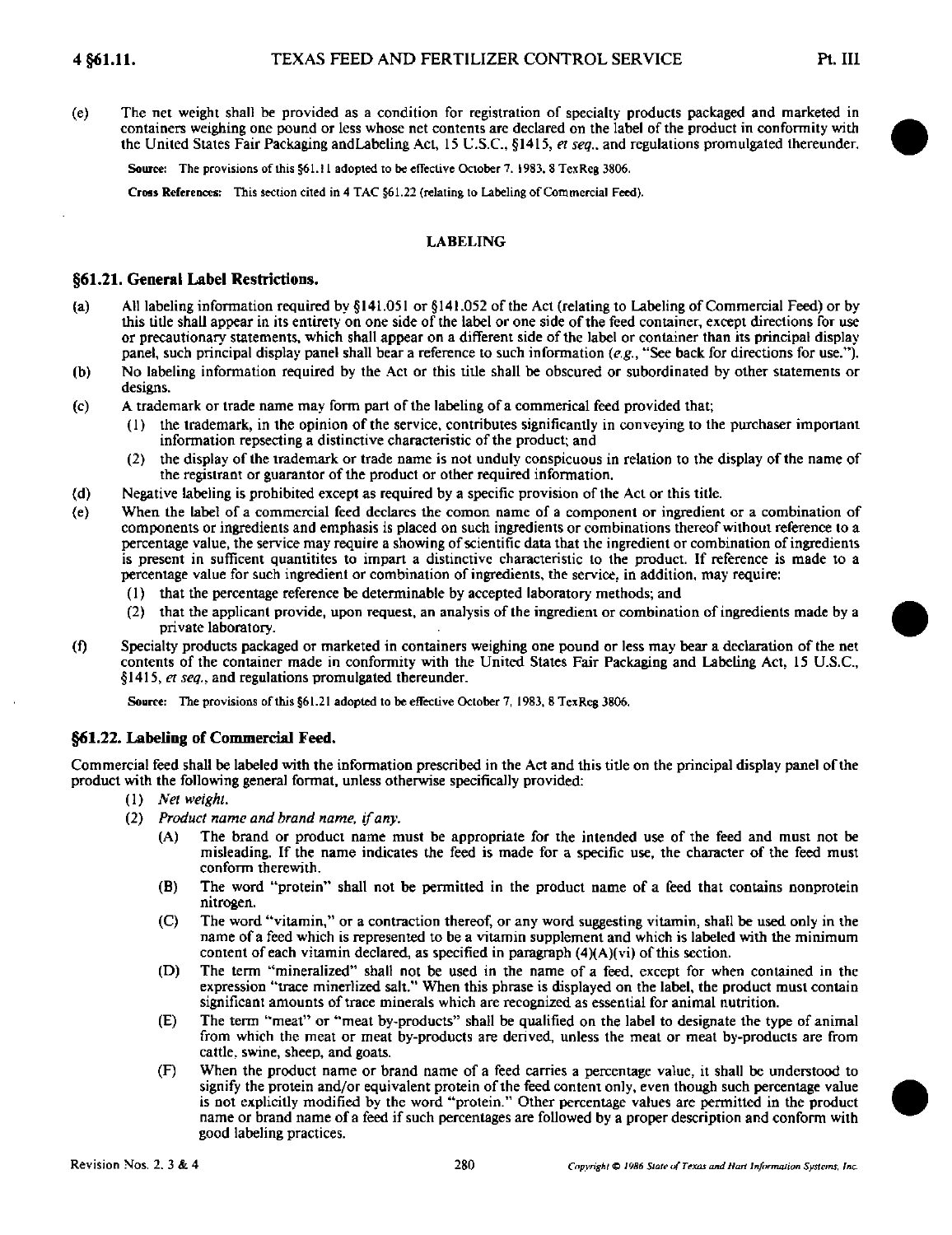(e) The net weight shall be provided as a condition for registration of specialty products packaged and marketed in containers weighing one pound or less whose net contents are declared on the label of the product in conformity with the United States Fair Packaging and Labeling Act, 15 U.S.C., §1415, et seq., and regulations promulgated thereunder.

Source: The provisions of this §61.11 adopted to be effective October 7. 1983, 8 TexReg 3806.

Cross References: This section cited in 4 TAC  $$61.22$  (relating to Labeling of Commercial Feed).

### LABELING

#### §61.21. General Label Restrictions.

- (a) All labeling information required by §141.051 or §141.052 of the Act (relating to Labeling of Commercial Feed) or by this title shall appear in its entirety on one side of the label or one side of the feed container, except directions for use or precautionary statements, which shall appear on a different side of the label or container than its principal display panel, such principal display panel shall bear a reference to such information (e.g., "See back for directions for use.").
- (b) No labeling information required by the Act or this title shall be obscured or subordinated by other statements or designs.
- (c) A trademark or trade name may form part of the labeling of a commerical feed provided that;
	- (1) the trademark, in the opinion of the service, contributes significantly in conveying to the purchaser important information repsecting a distinctive characteristic of the product; and
	- (2) the display of the trademark or trade name is not unduly conspicuous in relation to the display of the name of the registrant or guarantor of the product or other required information.
- (d) Negative labeling is prohibited except as required by a specific provision of the Act or this title.
- (e) When the label of a commercial feed declares the comon name of a component or ingredient or a combination of components or ingredients and emphasis is placed on such ingredients or combinations thereof without reference to a percentage value, the service may require a showing of scientific data that the ingredient or combination of ingredients is present in sufficent quantitites to impart a distinctive characteristic to the product. If reference is made to a percentage value for such ingredient or combination of ingredients, the service, in addition, may require:
	- (1) that the percentage reference be determinable by accepted laboratory' methods; and
	- (2) that the applicant provide, upon request, an analysis of the ingredient or combination of ingredients made by a private laboratory.
- (f) Specialty products packaged or marketed in containers weighing one pound or less may bear a declaration of the net contents of the container made in conformity with the United States Fair Packaging and Labeling Act. 15 U.S.C., §1415, et seq., and regulations promulgated thereunder.

Source: The provisions of this §61.21 adopted to be effective October 7, 1983. 8 TexReg 3806.

#### §61.22. Labeling of Commercial Feed.

Commercial feed shall be labeled with the information prescribed in the Act and this title on the principal display panel of the product with the following general format, unless otherwise specifically provided:

- (1) Net weight.
- (2) Product name and brand name, if any.
	- (A) The brand or product name must be appropriate for the intended use of the feed and must not be misleading. If the name indicates the feed is made for a specific use, the character of the feed must conform therewith.
	- (B) The word "protein" shall not be permitted in the product name of a feed that contains nonprotein nitrogen.
	- (C) The word "vitamin," or a contraction thereof, or any word suggesting vitamin, shall be used only in the name of a feed which is represented to be a vitamin supplement and which is labeled with the minimum content of each vitamin declared, as specified in paragraph (4)(A)(vi) of this section.
	- (D) The term "mineralized" shall not be used in the name of a feed, except for when contained in the expression "trace minerlized salt." When this phrase is displayed on the label, the product must contain significant amounts of trace minerals which are recognized as essential for animal nutrition.
	- (E) The term "meat" or "meat by-products" shall be qualified on the label to designate the type of animal from which the meat or meat by-products are derived, unless the meat or meat by-products are from cattle, swine, sheep, and goats.
	- (F) When the product name or brand name of a feed carries a percentage value, it shall be understood to signify the protein and/or equivalent protein of the feed content only, even though such percentage value is not explicitly modified by the word "protein." Other percentage values are permitted in the product name or brand name of a feed if such percentages are followed by a proper description and conform with good labeling practices.

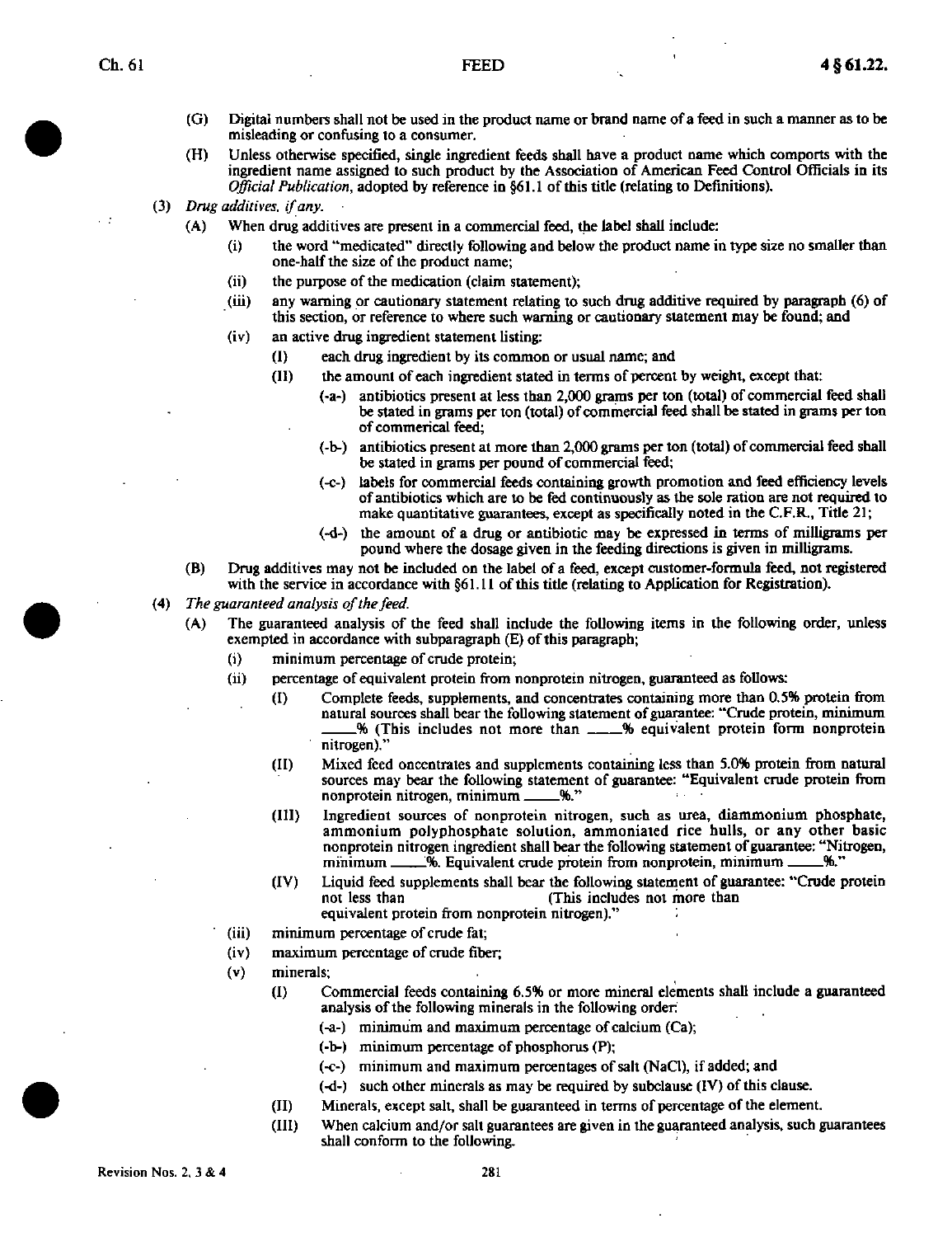- (G) Digital numbers shall not be used in the product name or brand name of a feed in such a manner as to be misleading or confusing to a consumer.
- (H) Unless otherwise specified, single ingredient feeds shall have a product name which comports with the ingredient name assigned to such product by the Association of American Feed Control Officials in its Official Publication, adopted by reference in §61.1 of this title (relating to Definitions).

(3) Drug additives, if any.

- (A) When drug additives are present in a commercial feed, the label shall include:
	- (i) the word "medicated" directly following and below the product name in type size no smaller than one-half the size of the product name;
	- (ii) the purpose of the medication (claim statement);
	- (iii) any warning or cautionary statement relating to such drug additive required by paragraph (6) of this section, or reference to where such warning or cautionary statement may be found; and
	- (iv) an active drug ingredient statement listing:
		- (I) each drug ingredient by its common or usual name; and
		- (II) the amount of each ingredient stated in terms of percent by weight, except that:
			- (-a-) antibiotics present at less than 2,000 grams per ton (total) of commercial feed shall be stated in grams per ton (total) of commercial feed shall be stated in grams per ton of commerical feed;
			- (-b-) antibiotics present at more than 2,000 grams per ton (total) of commercial feed shall be stated in grams per pound of commercial feed;
			- (-C-) labels for commercial feeds containing growth promotion and feed efficiency levels of antibiotics which are to be fed continuously as the sole ration are not required to make quantitative guarantees, except as specifically noted in the C.F.R., Title 21;
			- (-d-) the amotmt of a drug or antibiotic may be expressed in terms of milligrams per pound where the dosage given in the feeding directions is given in milligrams.
- (B) Drug additives may not be included on the label of a feed, except customer-formula feed, not registered with the service in accordance with §61.11 of this title (relating to Application for Registration).
- (4) The guaranteed analysis of the feed.
	- (A) The guaranteed analysis of the feed shall include the following items in the following order, unless exempted in accordance with subparagraph (E) of this paragraph;
		- (i) minimum percentage of crude protein;
		- (ii) percentage of equivalent protein from nonprotein nitrogen, guaranteed as follows:
			- (I) Complete feeds, supplements, and concentrates containing more than 0.5% protein fiom natural sources shall bear the following statement of guarantee: "Crude protein, minimum  $\%$  (This includes not more than  $\_\_\_\%$  equivalent protein form nonprotein nitrogen).'
			- (II) Mixed feed oncentrates and supplements containing less than 5.0% protein from natural sources may bear the following statement of guarantee: "Equivalent crude protein from nonprotein nitrogen. minimum  $\_\_\_\_$ ," nonprotein nitrogen, minimum.
			- (III) Ingredient sources of nonprotein nitrogen, such as urea, diammonium phosphate, ammonium polyphosphate solution, ammoniated rice hulls, or any other basic nonprotein nitrogen ingredient shall bear the following statement of guarantee: "Nitrogen, minimum \_\_\_\_%. Equivalent crude protein from nonprotein, minimum \_\_\_\_%."  $minum \_\_\_\_\$ %. Equivalent crude protein from nonprotein, minimum  $\_\_\_\_\$
			- (IV) Liquid feed supplements shall bear the following statement of guarantee: "Crude protein not less than (This includes not more than (This includes not more than equivalent protein from nonprotein nitrogen)."
		- (iii) minimum percentage of crude fat;
		- (iv) maximum percentage of crude fiber;
		- (v) minerals;
			- (I) Commercial feeds containing 6.5% or more mineral elements shall include a guaranteed analysis of the following minerals in the following order
				- (-a-) minimum and maximum percentage of calcium (Ca);
				- (-b-) minimum percentage of phosphorus (P);
				- (-C-) minimum and maximum percentages of salt (NaCl), if added; and
				- (-d-) such other minerals as may be required by subclause (IV) of this clause.
			- (II) Minerals, except salt, shall be guaranteed in terms of percentage of the element.
			- (III) When calcium and/or salt guarantees are given in the guaranteed analysis, such guarantees shall conform to the following.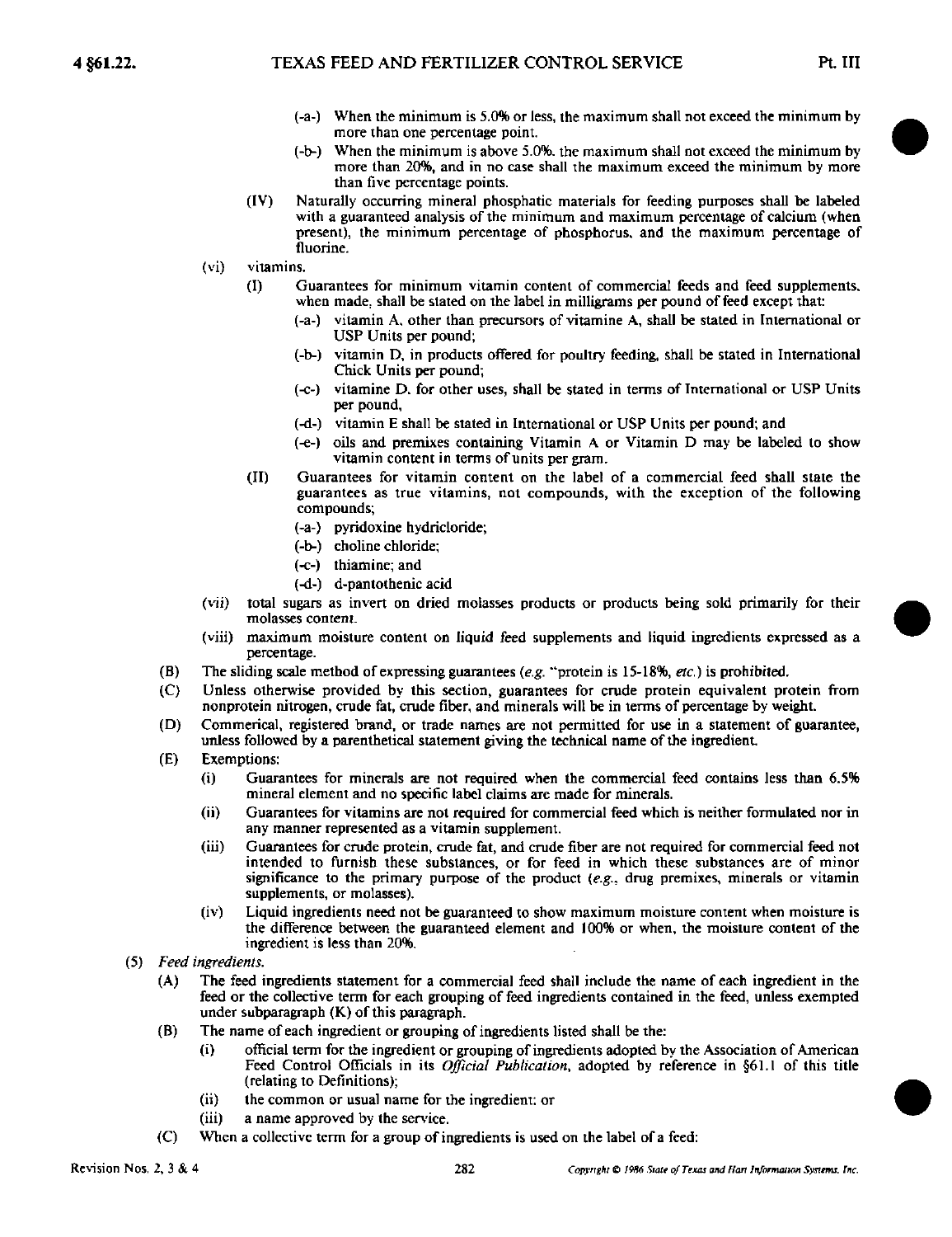- (-a-) When the minimum is 5.0% or less, the maximum shall not exceed the minimum by more than one percentage point,
- (-b-) When the minimum is above 5.0%. the maximum shall not exceed the minimum by more than 20%, and in no case shall the maximum exceed the minimum by more than five percentage points. than five percentage points.
- (IV) Naturally occurring mineral phosphatic materials for feeding purposes shall be labeled with a guaranteed analysis of the minimum and maximum percentage of calcium (when present), the minimum percentage of phosphorus, and the maximum percentage of fluorine,
- (vi) vitamins.<br>(I) G
	- (I) Guarantees for minimum vitamin content of commercial feeds and feed supplements, when made, shall be stated on the label in milligrams per pound of feed except that:
		- (-a-) vitamin A, other than precursors of vitamine A, shall be stated in International or USP Units per pound;
		- (-b-) vitamin D, in products offered for poultry feeding, shall be stated in International Chick Units per pound;
		- (-C-) vitamine D. for other uses, shall be stated in terms of International or USP Units per pound,
		- (-d-) vitamin E shall be stated in International or USP Units per pound; and
		- (-e-) oils and premixes containing Vitamin A or Vitamin D may be labeled to show vitamin content in terms of units per gram.
	- (II) Guarantees for vitamin content on the label of a commercial feed shall state the guarantees as true vitamins, not compounds, with the exception of the following compounds;
		- (-a-) pyridoxine hydricloride;
		- (-b-) choline chloride;
		- (-C-) thiamine; and
		- (-d-) d-pantothenic acid
- (vii) total sugars as invert on dried molasses products or products being sold primarily for their molasses content,
- (viii) maximum moisture content on liquid feed supplements and liquid ingredients expressed as a percentage.
- (B) The sliding scale method of expressing guarantees  $(e.g.$  "protein is 15-18%,  $\epsilon$ c.) is prohibited.
- (C) Unless otherwise provided by this section, guarantees for crude protein equivalent protein from nonprotein nitrogen, crude fat, crude fiber, and minerals will be in terms of percentage by weight.
- (D) Commerical, registered brand, or trade names are not permitted for use in a statement of guarantee, unless followed by a parenthetical statement giving the technical name of the ingredient.
- (E) Exemptions:
	- (i) Guarantees for minerals are not required when the commercial feed contains less than 6.5% mineral element and no specific label claims are made for minerals,
	- (ii) Guarantees for vitamins are not required for commercial feed which is neither formulated nor in any manner represented as a vitamin supplement,
	- (iii) Guarantees for crude protein, crude fat, and crude fiber are not required for commercial feed not intended to furnish these substances, or for feed in which these substances are of minor  $s$  interests to the primary purpose of the product  $(s_{\alpha})$ , drug premixes, minerals or vitaming supplements, or molasses).<br>Liquid ingredients need not be guaranteed to show maximum moisture content when moisture is
	- $(iv)$ the difference between the guaranteed element and 100% or when, the moisture content of the ingredient is less than 20%.
- $\eta$ ingredient is less than 20%  $\eta$ 
	- (A) The feed ingredients statement for a commercial feed shall include the name of each ingredient in the feed or the collective term for each grouping of feed ingredients contained in the feed, unless exempted under subparagraph  $(K)$  of this paragraph.
	- $(B)$ The name of each ingredient or grouping of ingredients listed shall be the:
		- (i) official term for the ingredient or grouping of ingredients adopted by the Association of American (i) official term for the ingredient of  $\mathcal{U}$  is  $\mathcal{U}$  of  $\mathcal{U}$  in  $\mathcal{U}$  is  $\mathcal{U}$  is  $\mathcal{U}$  in  $\mathcal{U}$  is  $\mathcal{U}$  is  $\mathcal{U}$  is  $\mathcal{U}$  is  $\mathcal{U}$  is  $\mathcal{U}$  is  $\mathcal{U}$  is  $\mathcal{U}$  is  $\mathcal{U}$  is recentrol of the control of the Cylicial Publication, adopted by reference in §61.1 of this title
		- $\mu$  cannot to Definitions); (ii) the common or usual name for the ingredient: or
		- (iii) a name approved by the service.
	- $(C)$   $\forall$  when a collective term for a group of ingredients is used on the label of a feed.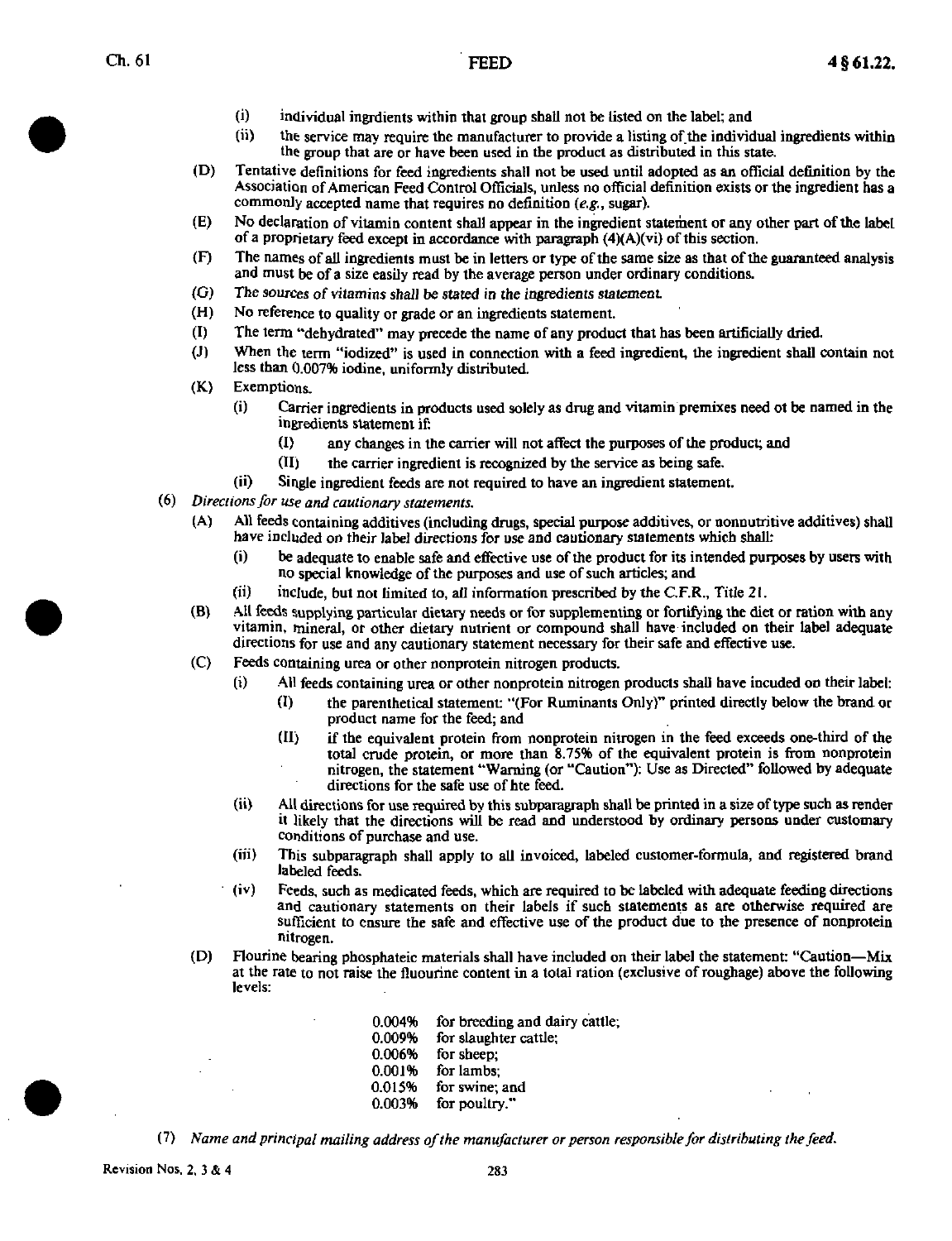- (i) individual ingredients within that group shall not be listed on the label; and  $(i)$  the service may require the manufacturer to provide a listing of the individual
- the service may require the manufacturer to provide a listing of the individual ingredients within the group that are or have been used in the product as distributed in this state.
- (D) Tentative definitions for feed ingredients shall not be used until adopted as an official definition by the Association of American Feed Control Officials, unless no official definition exists or the ingredient has a commonly accepted name that requires no definition {e.g., sugar).
- (E) No declaration of vitamin content shall appear in the ingredient statement or any other part of the label of a proprietary feed except in accordance with paragraph (4)(A)(vi) of this section.
- (F) The names of all ingredients must be in letters or type of the same size as that of the guaranteed analysis and must be of a size easily read by the average person under ordinary conditions.
- (G) The sources of vitamins shall be stated in the ingredients statement.
- (H) No reference to quality or grade or an ingredients statement.
- (I) The term "dehydrated" may precede the name of any product that has been artificially dried.
- (J) When the term "iodized" is used in connection with a feed ingredient, the ingredient shall contain not less than 0.007% iodine, uniformly distributed.
- (K) Exemptions.<br>(i) Carrie
	- Carrier ingredients in products used solely as drug and vitamin premixes need ot be named in the ingredients statement if:
		- (I) any changes in the carrier will not affect the purposes of the product; and
		- $(II)$  the carrier ingredient is recognized by the service as being safe.
	- (ii) Single ingredient feeds are not required to have an ingredient statement.
- (6) Directions for use and cautionary statements.
	- (A) All feeds containing additives (including drugs, special purpose additives, or nonnutritive additives) shall have included on their label directions for use and cautionary statements which shall:
		- (i) be adequate to enable safe and effective use of the product for its intended purposes by users with no special knowledge of the purposes and use of such articles; and
		- $(i)$  include, but not limited to, all information prescribed by the C.F.R., Title 21.
	- (B) . All feeds supplying particular dietary needs or for supplementing or fortifying the diet or ration with any vitamin, mineral, or other dietary nutrient or compound shall have included on their label adequate directions for use and any cautionary statement necessary for their safe and effective use.
	- (C) Feeds containing urea or other nonprotein nitrogen products.
		- (i) All feeds containing urea or other nonprotein nitrogen products shall have incuded on their label:
			- (I) the parenthetical statement: "(For Ruminants Only)" printed directly below the brand or product name for the feed; and
			- (II) if the equivalent protein firom nonprotein nitrogen in the feed exceeds one-third of the total crude protein, or more than 8.75% of the equivalent protein is from nonprotein nitrogen, the statement "Warning (or "Caution"): Use as Directed" followed by adequate directions for the safe use of hte feed.
		- (it) All directions for use required by this subparagraph shall be printed in a size of type such as render it likely that the directions will be read and understood by ordinary persons under customary conditions of purchase and use.
		- (iii) This subparagraph shall apply to all invoiced, labeled customer-formula, and registered brand labeled feeds.
		- (iv) Feeds, such as medicated feeds, which are required to be labeled with adequate feeding directions and cautionary statements on their labels if such statements as are otherwise required are sufficient to ensure the safe and effective use of the product due to the presence of nonprotein nitrogen.
	- (D) Flourine bearing phosphateic materials shall have included on their label the statement: "Caution—Mix at the rate to not raise the fluourine content in a total ration (exclusive of roughage) above the following levels:
		- 0.004% 0.009% 0.006% 0.001% 0.015% 0.003% for breeding and dairy cattle; for slaughter cattle; for sheep; for lambs; for swine; and for poultry."
- (7) Name and principal mailing address of the manufacturer or person responsible for distributing the feed.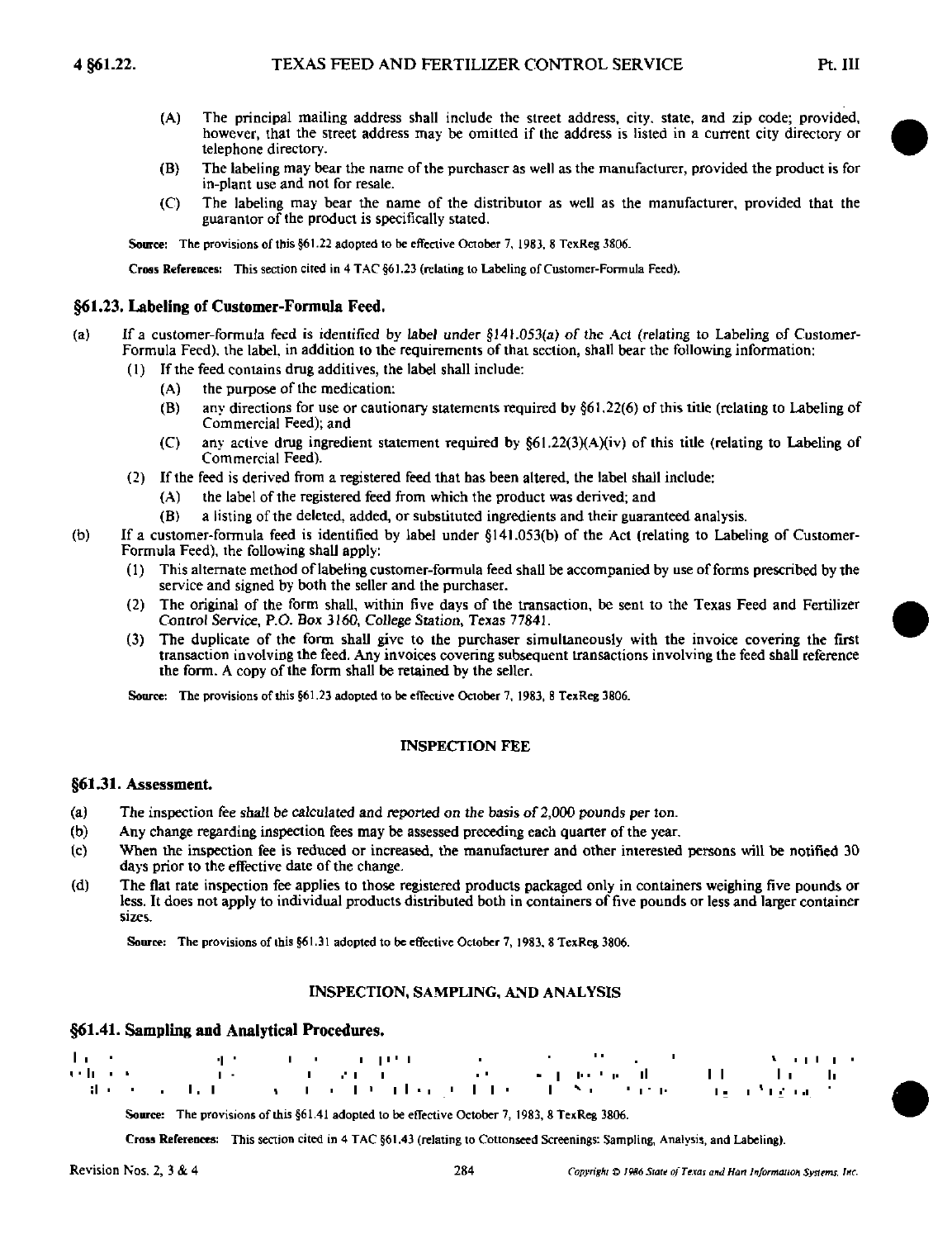- (A) The principal mailing address shall include the street address, city, state, and zip code; provided, however, that the street address may be omitted if the address is listed in a current city directory or telephone directory.
- (B) The labeling may bear the name of the purchaser as well as the manufacturer, provided the product is for in-plant use and not for resale.
- (C) The labeling may bear the name of the distributor as well as the manufacturer, provided that the guarantor of the product is specifically stated.

Source: The provisions of this §61.22 adopted to be effective October 7, 1983, 8 TexReg 3806.

Cross References: This section cited in 4 T.AC §61.23 (relating to Labeling of Customer-Fonnula Feed).

## §61.23. Labeling of Customer-Formula Feed.

- (a) If a customer-formula feed is identified by label under  $\S 141.053(a)$  of the Act (relating to Labeling of Customer-Formula Feed), the label, in addition to the requirements of that section, shall bear the following information:
	- (1) If the feed contains drug additives, the label shall include:
		- $(A)$  the purpose of the medication:
		- (B) any directions for use or cautionary statements required by §61.22(6) of this title (relating to Labeling of Commercial Feed); and
		- (C) any active drug ingredient statement required by  $\S61.22(3)(A)(iv)$  of this title (relating to Labeling of Commercial Feed).
	- (2) If the feed is derived from a registered feed that has been altered, the label shall include:
		- (A) the label of the registered feed from which the product was derived; and
		- (B) a listing of the deleted, added, or substituted ingredients and their guaranteed analysis.
- (b) If a customer-formula feed is identified by label under §141.053(b) of the Act (relating to Labeling of Customer-Formula Feed), the following shall apply:
	- (1) This alternate method oflabeling customer-formula feed shall be accompanied by use of forms prescribed by the service and signed by both the seller and the purchaser.
	- (2) The original of the form shall, within five days of the transaction, be sent to the Texas Feed and Fertilizer Control Service, P.O. Box 3160, College Station, Texas 77841.
	- (3) The duplicate of the form shall give to the purchaser simultaneously with the invoice covering the first transaction involving the feed. Any invoices covering subsequent transactions involving the feed shall reference the form. A copy of the form shall be retained by the seller.

Source: The provisions of this §61.23 adopted to be effective October 7, 1983, 8 TexReg 3806.

#### INSPECTION FEE

#### §61.31. Assessment.

- (a) The inspection fee shall be calculated and reported on the basis of 2,000 pounds per ton.
- (b) Any change regarding inspection fees may be assessed preceding each quarter of the year.
- (c) When the inspection fee is reduced or increased, the manufacturer and other interested persons will be notified 30 days prior to the effective date of the change.
- (d) The flat rate inspection fee applies to those registered products packaged only in containers weighing five pounds or less. It does not apply to individual products distributed both in containers of five pounds or less and larger container sizes.

Source: The provisions of this §61.31 adopted to be effective October 7, 1983. 8 TexReg 3806.

#### INSPECTION, SAMPLING, AND ANALYSIS

#### §61.41. Sampling and Analytical Procedures.

| diameter a                     | open and the computation of the control of the control of the control of the control of the control of the control of the control of the control of the control of the control of the control of the control of the control of |  |  |
|--------------------------------|--------------------------------------------------------------------------------------------------------------------------------------------------------------------------------------------------------------------------------|--|--|
| <b>College Advised Service</b> | the contract of the state of the contract of the property and the contract of the contract of                                                                                                                                  |  |  |
|                                | and the basis of the first security of the first product of the South Principal and the product of                                                                                                                             |  |  |

Source: The provisions of this §61.41 adopted to be effective October 7, 1983, 8 TexReg 3806.

Cross References: This section cited in 4 TAC §61.43 (relating to Cottonseed Screenings: Sampling, Analysis, and Labeling).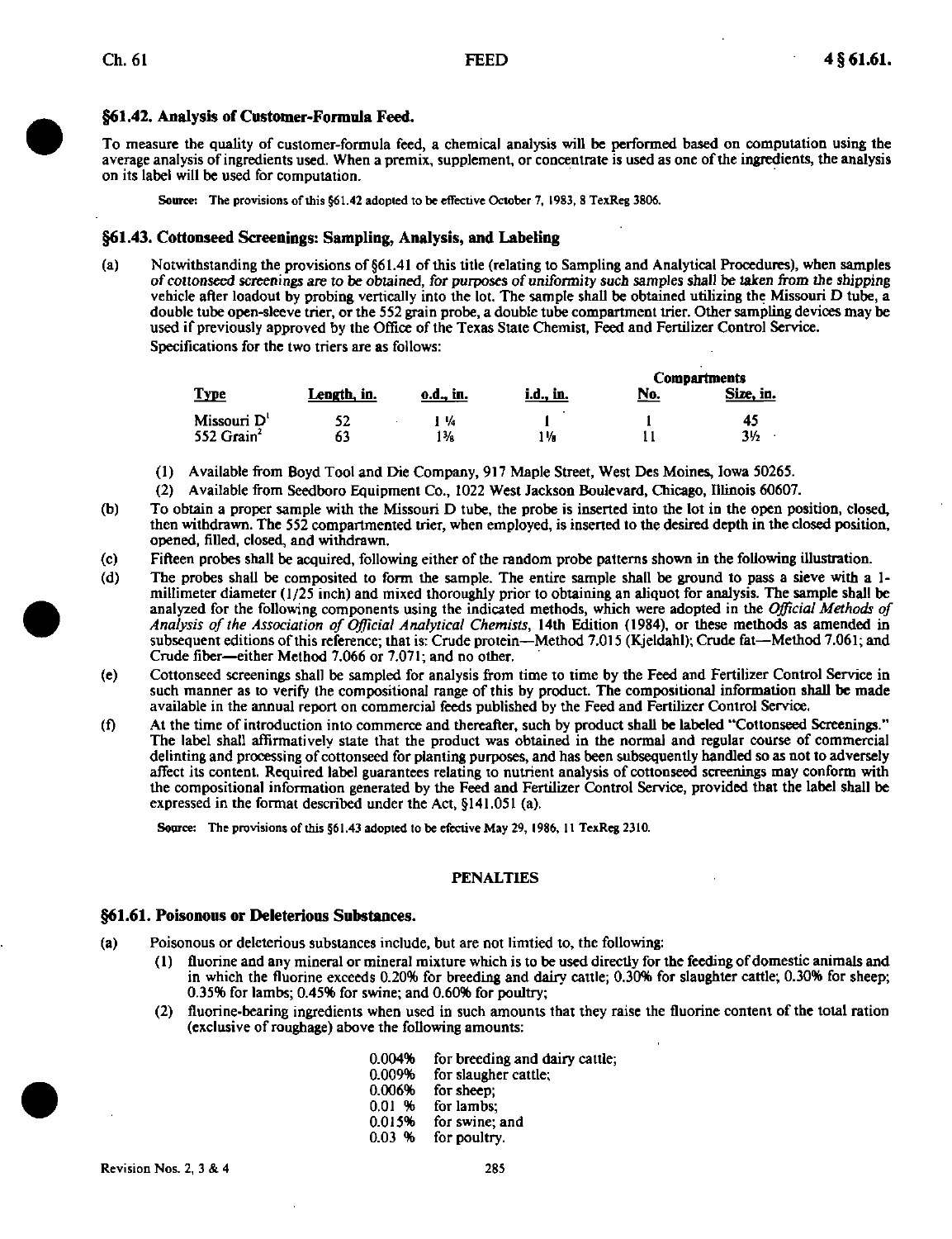## §61.42. Analysis of Customer-Fonnula Feed.

To measure the quality of customer-formula feed, a chemical analysis will be performed based on computation using the average analysis of ingredients used. When a premix, supplement, or concentrate is used as one of the ingredients, the analysis on its label will be used for computation.

Source: The provisions of this §61.42 adopted to be effective October 7, 1983, 8 TexReg 3806.

#### §61.43. Cottonseed Screenings: Sampling, Analysis, and Labeling

(a) Notwithstanding the provisions of §61.41 of this title (relating to Sampling and Analytical Procedures), when samples of cottonseed screenings are to be obtained, for purposes of uniformity such samples shall be taken firom the shipping vehicle after loadout by probing vertically into the lot. The sample shall be obtained utilizing the Missouri D tube, a double tube open-sleeve trier, or the 552 grain probe, a double tube compartment trier. Other sampling devices may be used if previously approved by the Office of the Texas State Chemist, Feed and Fertilizer Control Service. Specifications for the two triers are as follows:

| <b>Type</b>                           |             |           |           | <b>Compartments</b> |           |
|---------------------------------------|-------------|-----------|-----------|---------------------|-----------|
|                                       | Length, in. | o.d., in. | i.d., in. | <u>No.</u>          | Size, in. |
| Missouri D'<br>552 Grain <sup>2</sup> | 52          | ч.        |           |                     | 45<br>3½  |
|                                       | 63          | м         | 11⁄8      |                     |           |

- (1) Available from Boyd Tool and Die Company, 917 Maple Street, West Des Moines, Iowa 50265.
- (2) Available from Seedboro Equipment Co., 1022 West Jackson Boulevard, Chicago, Illinois 60607.
- (b) To obtain a proper sample with the Missouri D tube, the probe is inserted into the lot in the open position, closed, then withdrawn. The 552 compartmented trier, when employed, is inserted to the desired depth in the closed position, opened, filled, closed, and withdrawn,
- (c) Fifteen probes shall be acquired, following either of the random probe patterns shown in the following illustration.
- (d) The probes shall be composited to form the sample. The entire sample shall be ground to pass a sieve with a 1 millimeter diameter (1/25 inch) and mixed thoroughly prior to obtaining an aliquot for analysis. The sample shall be analyzed for the following components using the indicated methods, which were adopted in the Official Methods of Analysis of the Association of Official Analytical Chemists, 14th Edition (1984), or these methods as amended in subsequent editions of this reference; that is: Crude protein—Method 7.015 (Kjeldahl); Crude fat—Method 7.061; and Crude fiber—either Method 7.066 or 7.071; and no other.
- (e) Cottonseed screenings shall be sampled for analysis from time to lime by the Feed and Fertilizer Control Service in such manner as to verify the compositional range of this by product. The compositional information shall be made available in the annual report on commercial feeds published by the Feed and Fertilizer Control Service.
- (f) .At the time of introduction into commerce and thereafter, such by product shall be labeled "Cottonseed Screenings." The label shall affinnatively state that the product was obtained in the normal and regular course of commercial delinting and processing of cottonseed for planting purposes, and has been subsequently handled so as not to adversely affect its content. Required label guarantees relating to nutrient analysis of cottonseed screenings may conform with the compositional information generated by the Feed and Fertilizer Control Service, provided that the label shall be expressed in the format described under the Act, §141.051 (a).

Source: The provisions of this §61.43 adopted to be efective May 29, 1986, 11 TexReg 2310.

#### PENALTIES

#### §61.61. Poisonous or Deleterious Substances.

- (a) Poisonous or deleterious substances include, but are not limtied to, the following:
	- (1) fluorine and any mineral or mineral mixture which is to be used directly for the feeding of domestic animals and in which the fluorine exceeds 0.20% for breeding and dairy cattle; 0.30% for slaughter cattle; 0.30% for sheep; 0.35% for lambs; 0.45% for swine; and 0.60% for poultry;
	- (2) fluorine-bearing ingredients when used in such amounts that they raise the fluorine content of the total ration (exclusive of roughage) above the following amounts:

| for breeding and dairy cattle; |
|--------------------------------|
| for slaugher cattle;           |
| for sheep;                     |
| for lambs:                     |
| for swine; and                 |
| for poultry.                   |
|                                |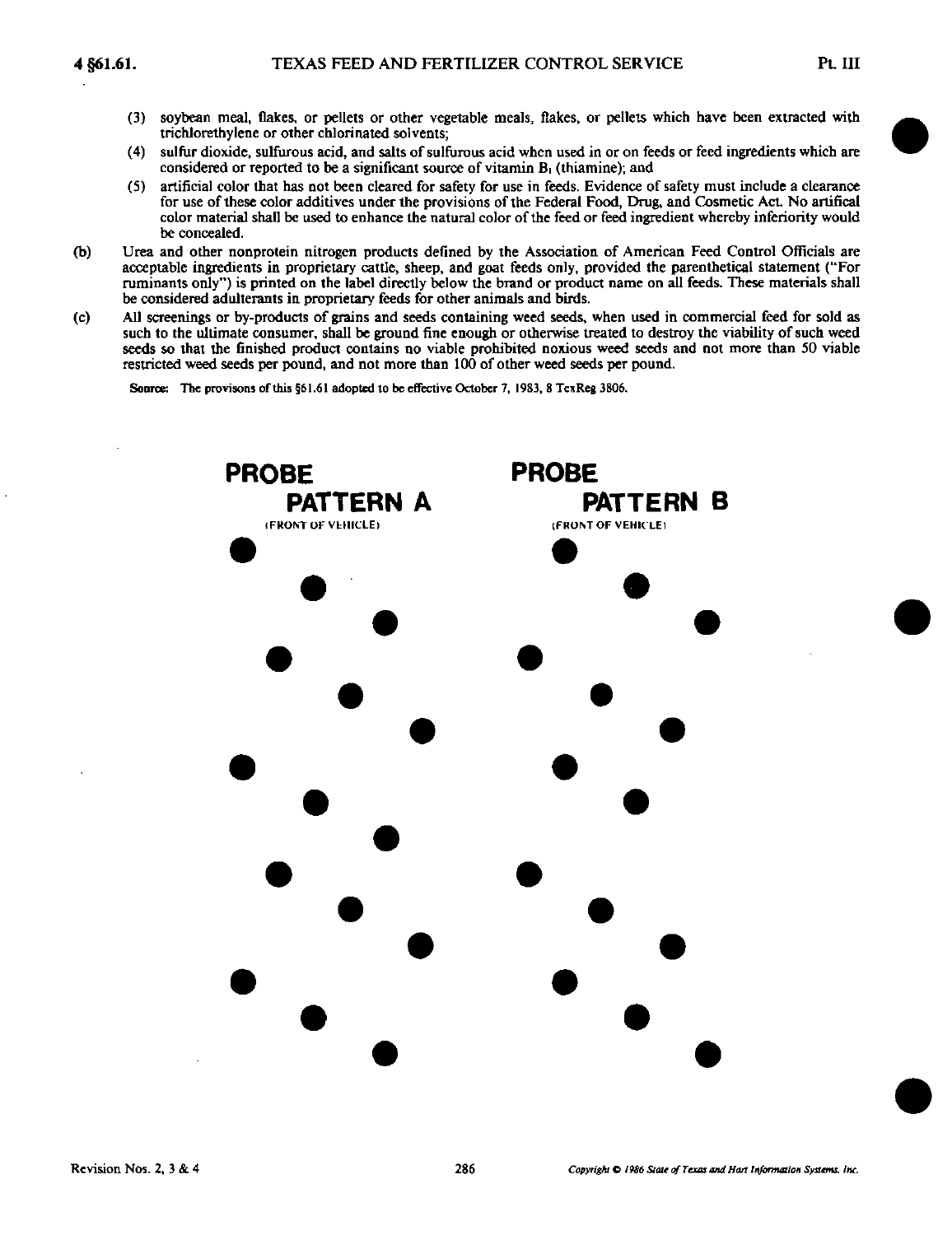- (3) soybean meal, flakes, or pellets or other vegetable meals, flakes, or pellets which have been extracted with trichlorethylene or other chlorinated solvents;
- (4) sulfur dioxide, sulfurous acid, and salts of sulfurous acid when used in or on feeds or feed ingredients which are considered or reported to be a significant source of vitamin  $B<sub>1</sub>$  (thiamine); and
- (5) artificial color that has not been cleared for safety for use in feeds. Evidence of safety must include a clearance for use of these color additives under the provisions of the Federal Food, Drug, and Cosmetic Act. No artifical color material shall be used to enhance the natural color of the feed or feed ingredient whereby inferiority would be concealed.
- (b) Urea and other nonprotein nitrogen products defined by the Association of American Feed Control Officials are acceptable ingredients in proprietary cattle, sheep, and goat feeds only, provided the parenthetical statement ("For ruminants only") is printed on the label directly below the brand or product name on all feeds. These materials shall be considered adulterants in proprietary feeds for other animals and birds.
- (c) All screenings or by-products of grains and seeds containing weed seeds, when used in commercial feed for sold as such to the ultimate consumer, shall be ground fine enough or otherwise treated to destroy the viability of such weed seeds so that the finished product contains no viable prohibited noxious weed seeds and not more than 50 viable restricted weed seeds per pound, and not more than 100 of other weed seeds per pound.

Soarce: The provisons of this §61.61 adopted to be effective October 7, 1983, 8 TexReg 3806.

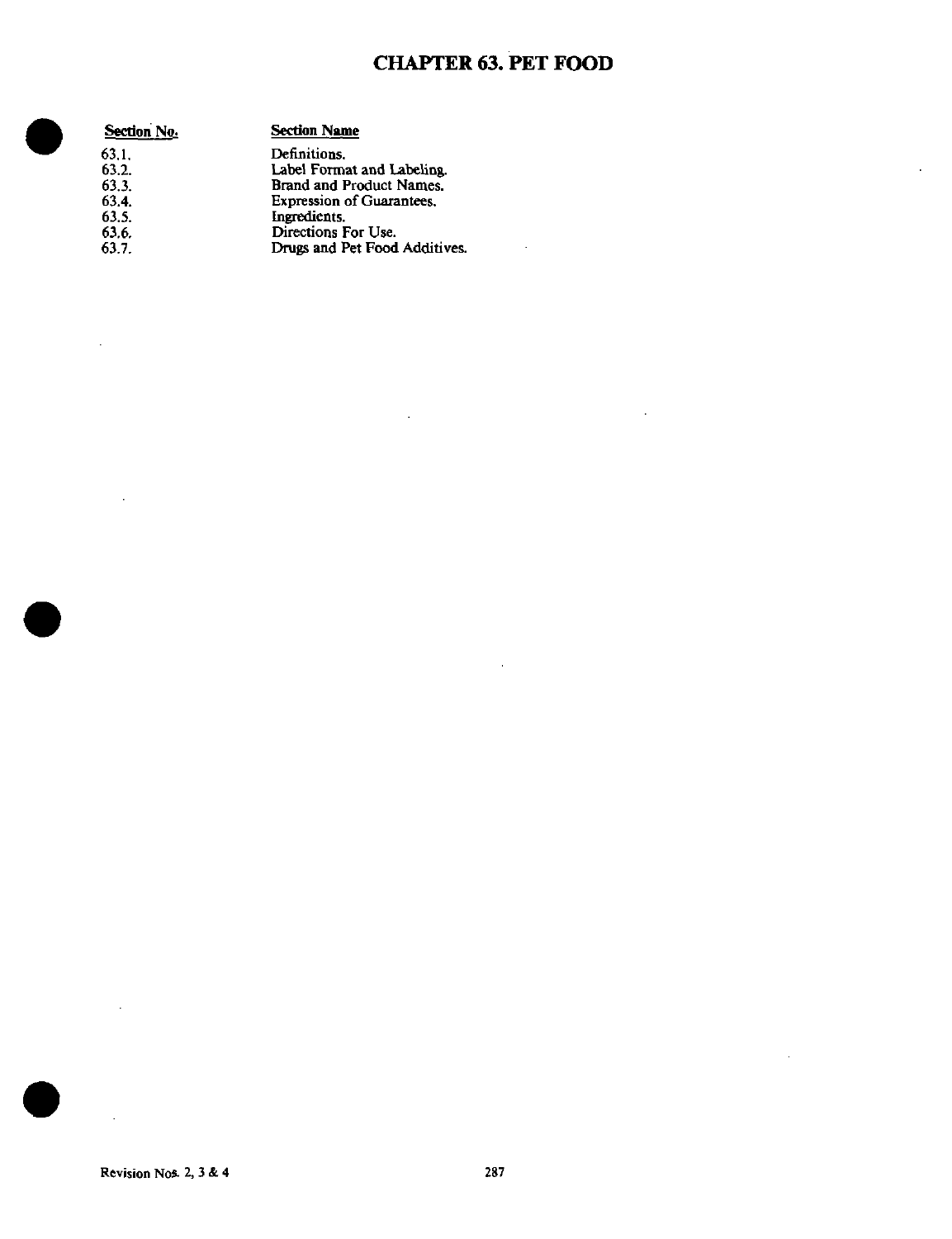# CHAPTER 63. PET FOOD

 $\sim$ 

 $\ddot{\phantom{a}}$ 

 $\overline{\phantom{a}}$ 

 $\ddot{\phantom{a}}$ 

 $\ddot{\phantom{a}}$ 

| Section No. | <b>Section Name</b>              |
|-------------|----------------------------------|
| 63.1.       | Definitions.                     |
| 63.2.       | Label Format and Labeling.       |
| 63.3.       | Brand and Product Names.         |
| 63.4.       | <b>Expression of Guarantees.</b> |
| 63.5.       | Ingredients.                     |
| 63.6.       | Directions For Use.              |
| 63.7.       | Drugs and Pet Food Additives.    |
|             |                                  |

 $\bar{z}$ 

 $\mathcal{L}$ 

 $\mathbf{r}$ 

J.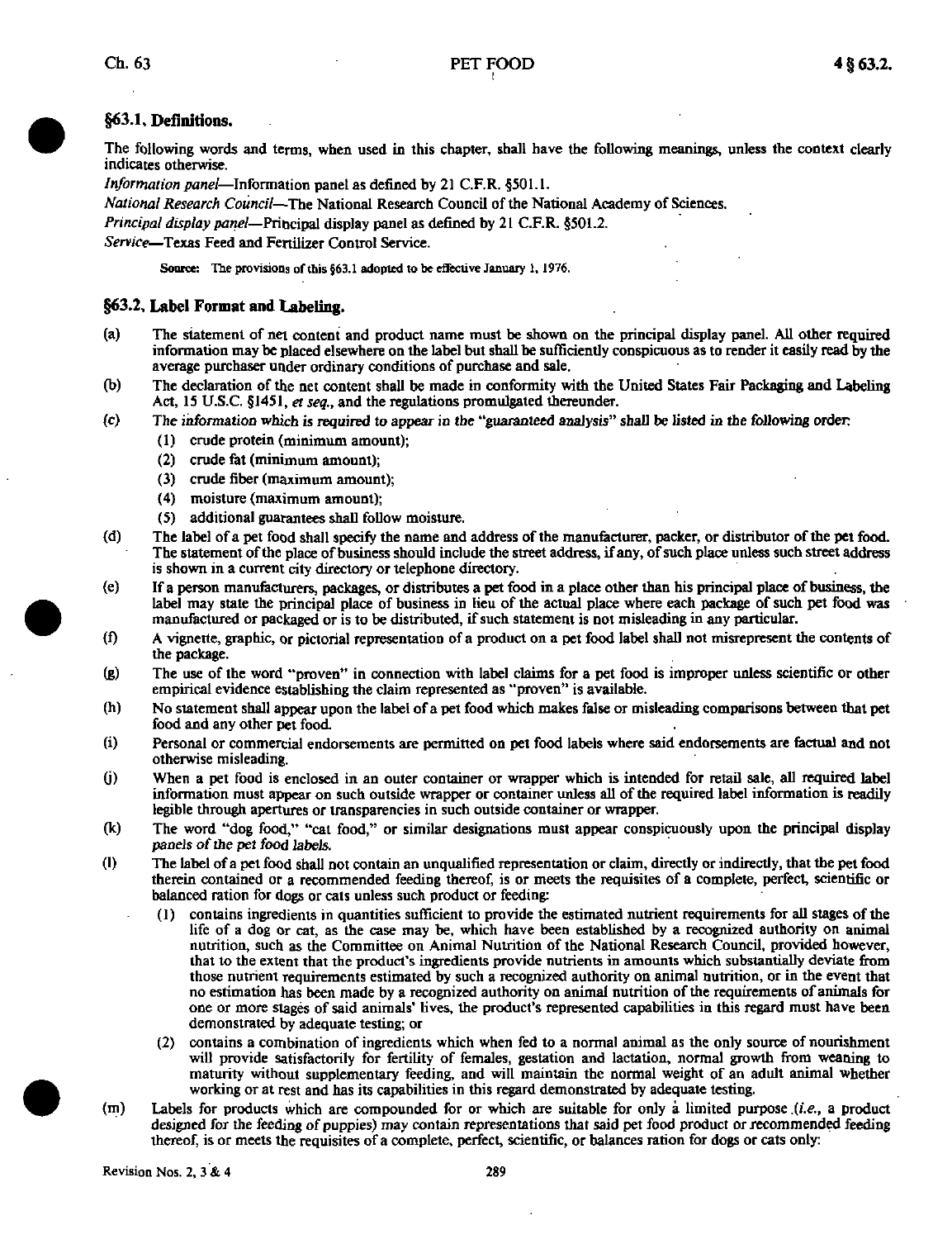## §63.1. Definitions.

The following words and terms, when used in this chapter, shall have the following meanings, unless the context clearly indicates otherwise.

Information panel—Information panel as defined by 21 C.F.R. §501.1.

National Research Council—The National Research Council of the National Academy of Sciences.

Principal display panel—Principal display panel as defined by 21 C.F.R. §501.2.

Service—Texas Feed and Fertilizer Control Service.

Source: The provisions of this §63.1 adopted to be effective January 1, 1976.

## §63.2, Label Format and Labeling.

- (a) The statement of net content and product name must be shown on the principal display panel. All other required information may be placed elsewhere on the label but shall be sufficiently conspicuous as to render it easily read by the average purchaser under ordinary conditions of purchase and sale.
- (b) The declaration of the net content shall be made in conformity with the United States Fair Packaging and Labeling Act, 15 U.S.C. §1451, et seq., and the regulations promulgated thereunder.
- $(c)$  The information which is required to appear in the "guaranteed analysis" shall be listed in the following order.
	- (1) crude protein (minimum amount);
	- (2) crude fat (minimum amount);
	- (3) crude fiber (maximum amount);
	- (4) moisture (maximum amount);
	- (5) additional guarantees shall follow moisture.
- (d) The label of a pet food shall specify the name and address of the manufacturer, packer, or distributor of the pet food. The statement of the place of business should include the street address, if any, of such place unless such street address is shown in a current city directory or telephone directory.
- (e) If a person manu&ctiu^rs, packages, or distributes a pet food in a place other than his principal place of business, the label may state the principal place of business in lieu of the actual place where each package of such pet food was manufactured or packaged or is to be distributed, if such statement is not misleading in any particular.
- (f) A vignette, graphic, or pictorial representation of a product on a pet food label shall not misrepresent the contents of the package.
- (g) The use of the word "proven" in connection with label claims for a pet food is improper unless scientific or other empirical evidence establishing the claim represented as "proven" is available.
- (h) No statement shall appear upon the label of a pet food which makes false or misleading comparisons between that pet food and any other pet food.
- (i) Personal or commercial endorsements are permitted on pet food labels where said endorsements are factual and not otherwise misleading.
- (i) When a pet food is enclosed in an outer container or wrapper which is intended for retail sale, aU required label information must appear on such outside wrapper or container unless all of the required label information is readily legible through apertures or transparencies in such outside container or wrapper,
- (k) The word "dog food," "cat food," or similar designations must appear conspicuously upon the principal display
- The label of a pet food shall not contain an unqualified representation or claim, directly or indirectly, that the pet food (1) The label of a pet food shall not contain an unqualified representation or claim, directly or indirectly, that the pet food balanced ration for dogs or cats unless such product or feeding:
	- (1) contains ingredients in quantities sufficient to provide the estimated nutrient requirements for all stages of the life of a dog or cat, as the case may be, which have been established by a recognized authority on animal nutrition, such as the Committee on Animal Nutrition of the National Research Council, provided however, that to the extent that the product's ingredients provide nutrients in amounts which substantially deviate from those nutrient requirements estimated by such a recognized authority on animal nutrition, or in the event that no estimation has been made by a recognized authority on animal nutrition of the requirements of animals for no estimation has been made by a recognized authority on animal nutrition of the requirements of more have been<br>Ana or more stocks of soid animals' lives the needvot's represented capabilities in this regard must have been one or more stages of said animals\* Uves, the product's represented capabilities in this regard must have been demonstrated by adequate testing; or
	- (2) contains a combination of ingredients which when fed to a normal animal as the only source of nourishment will provide satisfactorily for fertility of females, gestation and lactation, normal growth from weaning to maturity without supplementary feeding, and will maintain the normal weight of an adult animal whether working or at rest and has its capabilities in this regard demonstrated by adequate testing.
- $(m)$  Labels for products which are compounded for or which are suitable for only a limited purpose  $(i.e., a product)$ designed for the feeding of puppies) may contain representations that said pet food product or recommended feeding thereof, is or meets the requisites of a complete, perfect, scientific, or balances ration for dogs or cats only: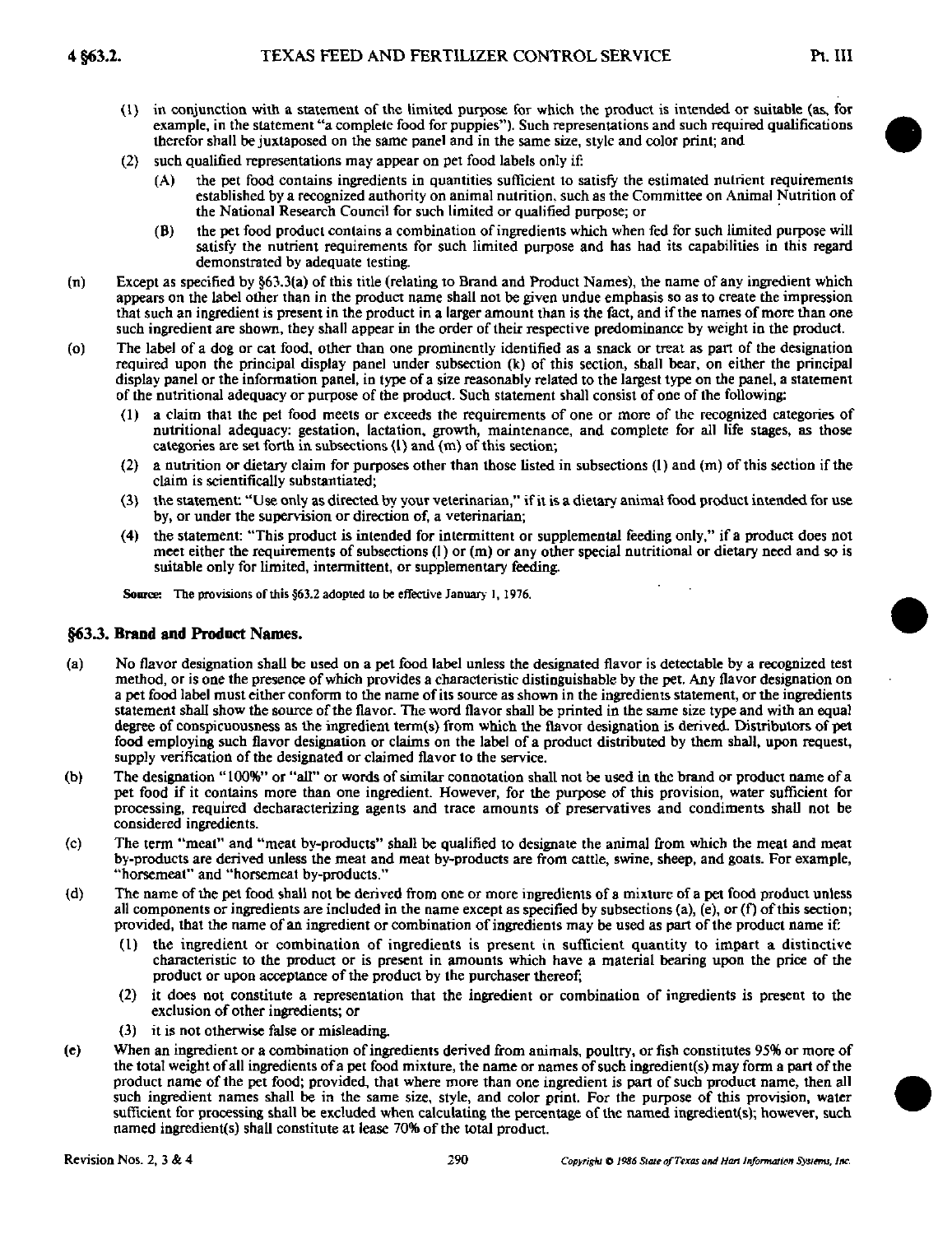- (1) in conjunction with a statement of the limited purpose for which the product is intended or suitable (as, for example, in the statement "a complete food for puppies"). Such representations and such required qualifications therefor shall be juxtaposed on the same panel and in the same size, style and color print; and
- (2) such qualified representations may appear on pet food labels only if:
	- (A) the pet food contains ingredients in quantities sufficient to satisfy the estimated nutrient requirements established by a recognized authority on animal nutrition, such as the Committee on Animal Nutrition of the National Research Council for such limited or qualified purpose; or
	- (B) the pet food product contains a combination of ingredients which when fed for such limited purpose will satisfy the nutrient requirements for such limited purpose and has had its capabilities in this regard demonstrated by adequate testing.
- (n) Except as specified by §63.3(a) of this title (relating to Brand and Product Names), the name of any ingredient which appears on the label other than in the product name shall not be given undue emphasis so as to create the impression that such an ingredient is present in the product in a larger amount than is the fact, and if the names of more than one such ingredient are shown, they shall appear in the order of their respective predominance by weight in the product.
- (o) The label of a dog or cat food, other than one prominently identified as a snack or treat as part of the designation required upon the principal display panel under subsection (k) of this section, shall bear, on either the principal display panel or the information panel, in type of a size reasonably related to the largest type on the panel, a statement of the nutritional adequacy or purpose of the product. Such statement shall consist of one of the following:
	- (1) a claim that the pet food meets or exceeds the requirements of one or more of the recognized categories of nutritional adequacy: gestation, lactation, growth, maintenance, and complete for all life stages, as those categories are set forth in subsections (I) and (m) of this section;
	- (2) a nutrition or dietary claim for purposes other than those listed in subsections (I) and (m) of this section if the claim is scientifically substantiated;
	- (3) the statement; "Use only as directed by your veterinarian," if it is a dietary animal food product intended for use by, or under the supervision or direction of, a veterinarian;
	- (4) the statement: "This product is intended for intermittent or supplemental feeding only," if a product does not meet either the requirements of subsections (I) or (m) or any other special nutritional or dietary need and so is suitable only for limited, intermittent, or supplementary feeding.

Source: The provisions of this §63.2 adopted to be effective January- 1, 1976.

#### §63.3. Brand and Product Names.

- (a) No flavor designation shall be used on a pet food label unless the designated flavor is detectable by a recognized test method, or is one the presence of which provides a characteristic distinguishable by the pet. Any flavor designation on a pet food label must either conform to the name of its source as shown in the ingredients statement, or the ingredients statement shall show the source of the flavor. The word flavor shall be printed in the same size type and with an equal degree of conspicuousness as the ingredient term(s) from which the flavor designation is derived. Distributors of pet food employing such flavor designation or claims on the label of a product distributed by them shall, upon request, supply verification of the designated or claimed flavor to the service.
- (b) The designation "100%" or "all" or words of similar connotation shall not be used in the brand or product name of a pet food if it contains more than one ingredient. However, for the purpose of this provision, water sufficient for processing, required decharacterizing agents and trace amounts of preservatives and condiments shall not be considered ingredients.
- (c) The term "meat" and "meat by-products" shall be qualified to designate the animal from which the meat and meat by-products are derived unless the meat and meat by-products are from cattle, swine, sheep, and goats. For example, "horsemeat" and "horsemeat by-products."
- (d) The name of the pet food shall not be derived from one or more ingredients of a mixture of a pet food product unless all components or ingredients are included in the name except as specified by subsections (a), (e), or (f) of this section; provided, that the name of an ingredient or combination of ingredients may be used as part of the product name if;
	- (1) the ingredient or combination of ingredients is present in sufficient quantity to impart a distinctive characteristic to the product or is present in amounts which have a material bearing upon the price of the product or upon acceptance of the product by the purchaser thereof;
	- (2) it does not constitute a representation that the ingredient or combination of ingredients is present to the exclusion of other ingredients; or
	- (3) it is not otherwise false or misleading.
- (e) When an ingredient or a combination of ingredients derived from animals, poultry, or fish constitutes 95% or more of the total weight of all ingredients of a pet food mixture, the name or names of such ingredient(s) may form a part of the product name of the pet food; provided, that where more than one ingredient is part of such product name, then all such ingredient names shall be in the same size, style, and color print. For the purpose of this provision, water sufficient for processing shall be excluded when calculating the percentage of the named ingredient(s); however, such named ingrcdient(s) shall constitute at lease 70% of the total product.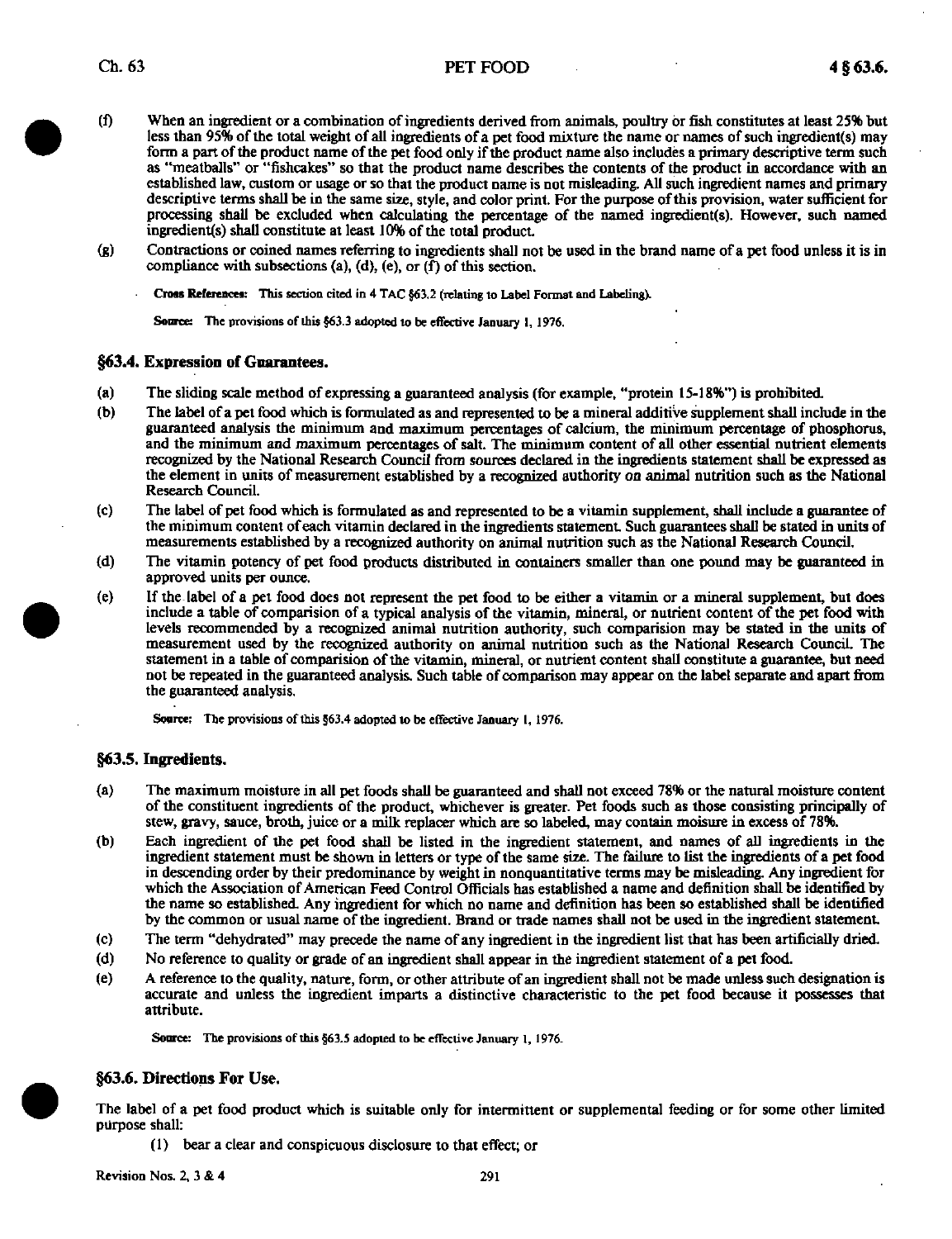- $(f)$  When an ingredient or a combination of ingredients derived from animals, poultry or fish constitutes at least 25% but less than 95% of the total weight of all ingredients of a pet food mixture the name or names of such ingredient(s) may form a part of the product name of the pet food only if the product name also includes a primary descriptive term such as "meatballs" or "fishcakes" so that the product name describes the contents of the product in accordance with an established law, custom or usage or so that the product name is not misleading. All such ingredient names and primary descriptive terms shall be in the same size, style, and color print. For the purpose of this provision, water sufficient for processing shall be excluded when calculating the percentage of the named ingredient(s). However, such named ingredient(s) shall constitute at least 10% of the total product
- (g) Contractions or coined names referring to ingredients shall not be used in the brand name of a pet food unless it is in compliance with subsections (a), (d), (e), or  $(f)$  of this section.
	- Cross References: This section cited in 4 TAC §63.2 (relating to Label Format and Labeling).

Source: The provisions of this \$63.3 adopted to be effective January 1, 1976.

#### §63.4. Expression of Guarantees.

- (a) The sliding scale method of expressing a guaranteed analysis (for example, "protein 15-18%") is prohibited,
- (b) The label of a pet food which is formulated as and represented to be a mineral additive supplement shall include in the guaranteed analysis the minimum and maximum percentages of calcium, the minimum percentage of phosphorus, and the minimum and maximum percentages of salt. The minimum content of all other essential nutrient elements recognized by the National Research Council from sources declared in the ingredients statement shall be expressed as the element in units of measurement established by a recognized authority on animal nutrition such as the National Research Council.
- (c) The label of pet food which is formulated as and represented to be a vitamin supplement, shall include a guarantee of the minimum content of each vitamin declared in the ingredients statement Such guarantees shall be stated in units of measurements estabUshed by a recognized authority on animal nutrition such as the National Research Coimcil.
- (d) The vitamin potency of pet food products distributed in containers smaller than one pound may be guaranteed in approved units per ounce.
- (e) If the label of a pet food does not represent the pet food to be either a vitamin or a mineral supplement, but does include a table of comparision of a typical analysis of the vitamin, mineral, or nutrient content of the pet food with levels recommended by a recognized animal nutrition authority, such comparision may be stated in the units of measurement used by the recognized authority on animal nutrition such as the National Research Coimcil. The statement in a table of comparision of the vitamin, mineral, or nutrient content shall constitute a guarantee, but need not be repeated in the guaranteed analysis. Such table of comparison may appear on the label separate and apart from the guaranteed analysis.

Source: The provisions of this §63.4 adopted to be effective January 1, 1976.

#### §63.5. Ingredients.

- (a) The maximum moisture in all pet foods shall be guaranteed and shall not exceed 78% or the natural moisture content of the constituent ingredients of the product, whichever is greater. Pet foods such as those consisting principally of stew, gravy, sauce, broth, juice or a nulk replacer which are so labeled, may contain moisure in excess of 78%.
- (b) Each ingredient of the pet food shall be listed in the ingredient statement, and names of aU ingredients in the ingredient statement must be shown in letters or type of the same size. The failure to list the ingredients of a pet food in descending order by their predominance by weight in nonquantitative terms may be misleading. Any ingredient for which the Association of American Feed Control Officials has established a name and definition shall be identified by the name so established. Any ingredient for which no name and definition has been so established shall be identified by the common or usual name of the ingredient. Brand or trade names shall not be used in the ingredient statement
- (c) The term "dehydrated" may precede the name of any ingredient in the ingredient list that has been artificially dried.
- (d) No reference to quality or grade of an ingredient shall appear in the ingredient statement of a pet food.
- (e) A reference to the quality, nature, form, or other attribute of an ingredient shaU not be made unless such designation is accurate and unless the ingredient imparts a distinctive characteristic to the pet food because it possesses that attribute.

Source: The provisions of this §63.5 adopted to be effective January 1, 1976.

## §63.6. Directions For Use.

The label of a pet food product which is suitable only for intermittent or supplemental feeding or for some other limited purpose shall:

(I) bear a clear and conspicuous disclosure to that effect; or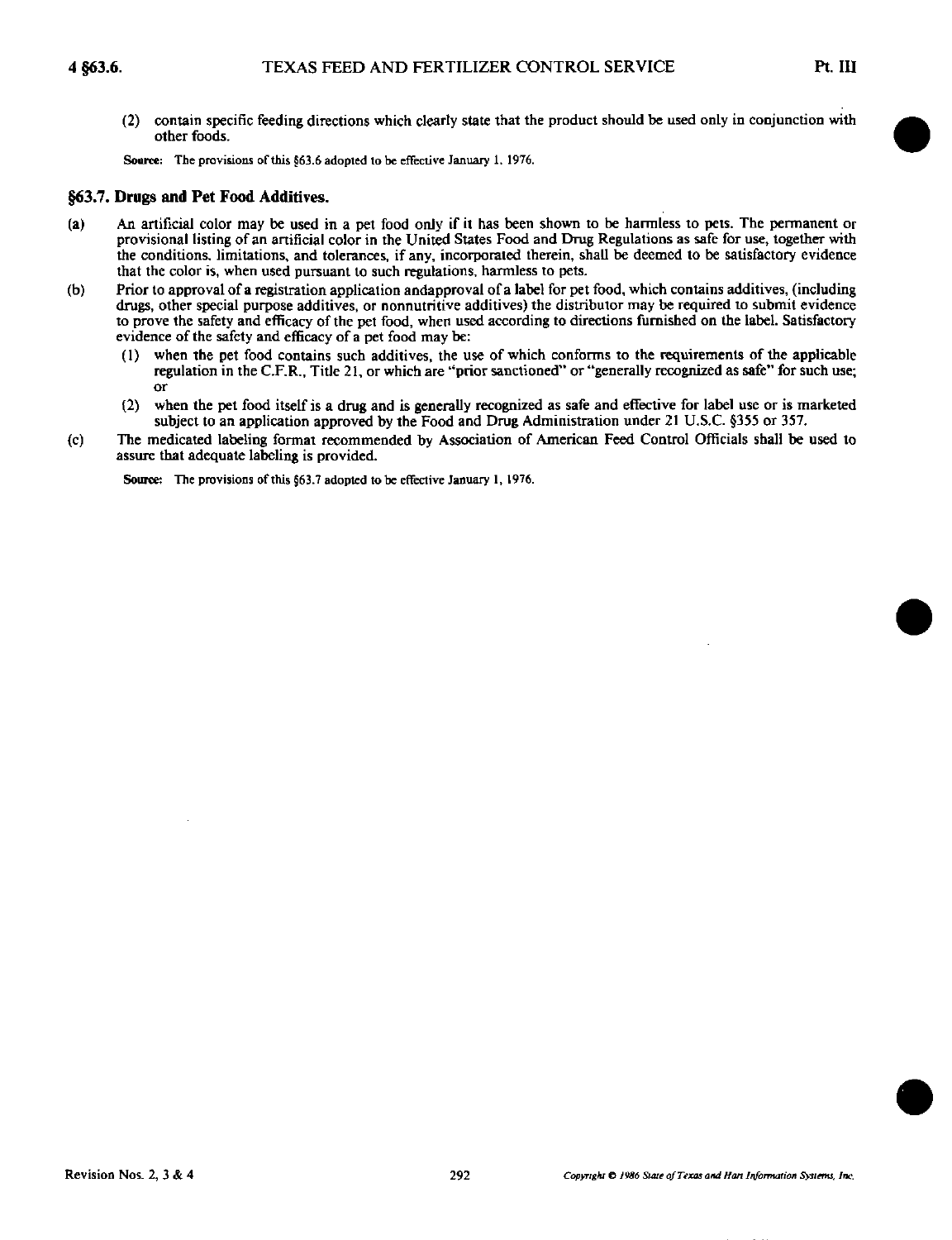(2) contain specific feeding directions which clearly state that the product should be used only in conjunction with other foods.

Source: The provisions of this §63.6 adopted to be effective January 1, 1976.

## §63.7. Drugs and Pet Food Additives.

- (a) An artificial color may be used in a pet food only if it has been shown to be harmless to pets. The permanent or provisional listing of an artificial color in the United States Food and Drug Regulations as safe for use, together with the conditions, limitations, and tolerances, if any, incorporated therein, shall be deemed to be satisfactory evidence that the color is, when used pursuant to such regulations, harmless to pets.
- (b) Prior to approval of a registration application andapproval of a label for pet food, which contains additives, (including drugs, other special purpose additives, or nonnutritive additives) the distributor may be required to submit evidence to prove the safety and efficacy of the pet food, when used according to directions furnished on the label. Satisfactory evidence of the safety and efficacy of a pet food may be:
	- (1) when the pet food contains such additives, the use of which conforms to the requirements of the applicable regulation in the C.F.R., Title 21, or which are "prior sanctioned" or "generally recognized as safe" for such use; or
	- (2) when the pet food itself is a drug and is generaUy recognized as safe and effective for label use or is marketed subject to an application approved by the Food and Drug Administration under 21 U.S.C. §355 or 357.
- (c) The medicated labeling format recommended by Association of American Feed Control Officials shall be used to assure that adequate labeling is provided.

Source: The provisions of this §63.7 adopted to be effective January 1, 1976.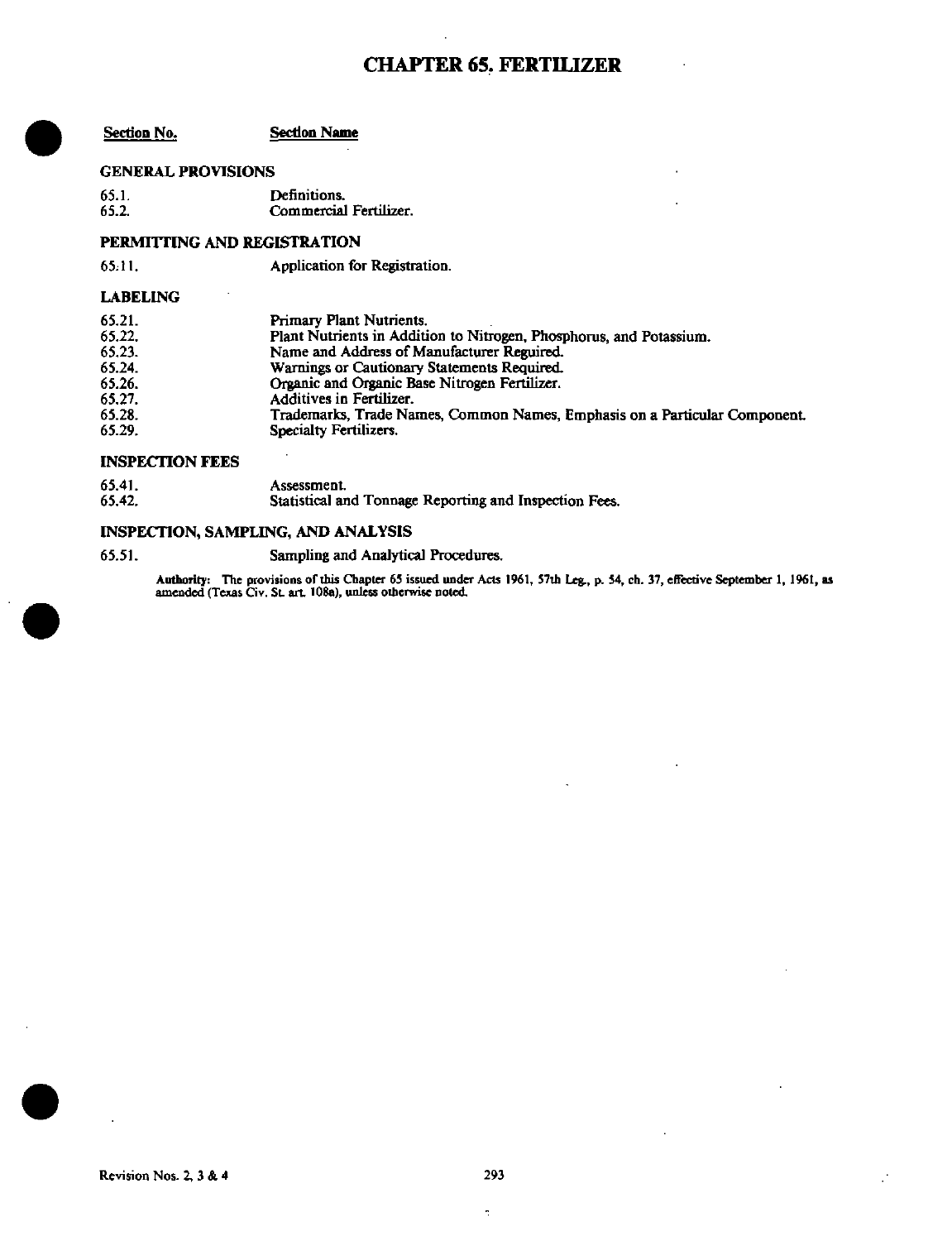# CHAPTER 65. FERTILIZER

## Section No. Section Name

### GENERAL PROVISIONS

65.1. 65.2. Definitions. Commercial Fertilizer.

# PERMITTING AND REGISTRATION

 $\bar{z}$ 

65.11. **Application for Registration.** 

# LABELING

| 65.21. | Primary Plant Nutrients.                                                   |
|--------|----------------------------------------------------------------------------|
| 65.22. | Plant Nutrients in Addition to Nitrogen, Phosphorus, and Potassium.        |
| 65.23. | Name and Address of Manufacturer Reguired.                                 |
| 65.24. | Warnings or Cautionary Statements Required.                                |
| 65.26. | Organic and Organic Base Nitrogen Fertilizer.                              |
| 65.27. | <b>Additives in Fertilizer.</b>                                            |
| 65.28. | Trademarks, Trade Names, Common Names, Emphasis on a Particular Component. |
| 65.29. | Specialty Fertilizers.                                                     |

## **INSPECTION FEES**

| 65.41. | Assessment.                                            |
|--------|--------------------------------------------------------|
| 65.42. | Statistical and Tonnage Reporting and Inspection Fees. |
|        |                                                        |

## INSPECTION, SAMPLING, AND ANALYSIS

65.51. Sampling and Analytical Procedures.

Authority: The provisions of this Chapter 65 issued under Acts 1961, 57th Leg., p. 54, ch. 37, effective September 1, 1961, as<br>amended (Texas Civ. St. art. 108a), unless otherwise noted.

÷,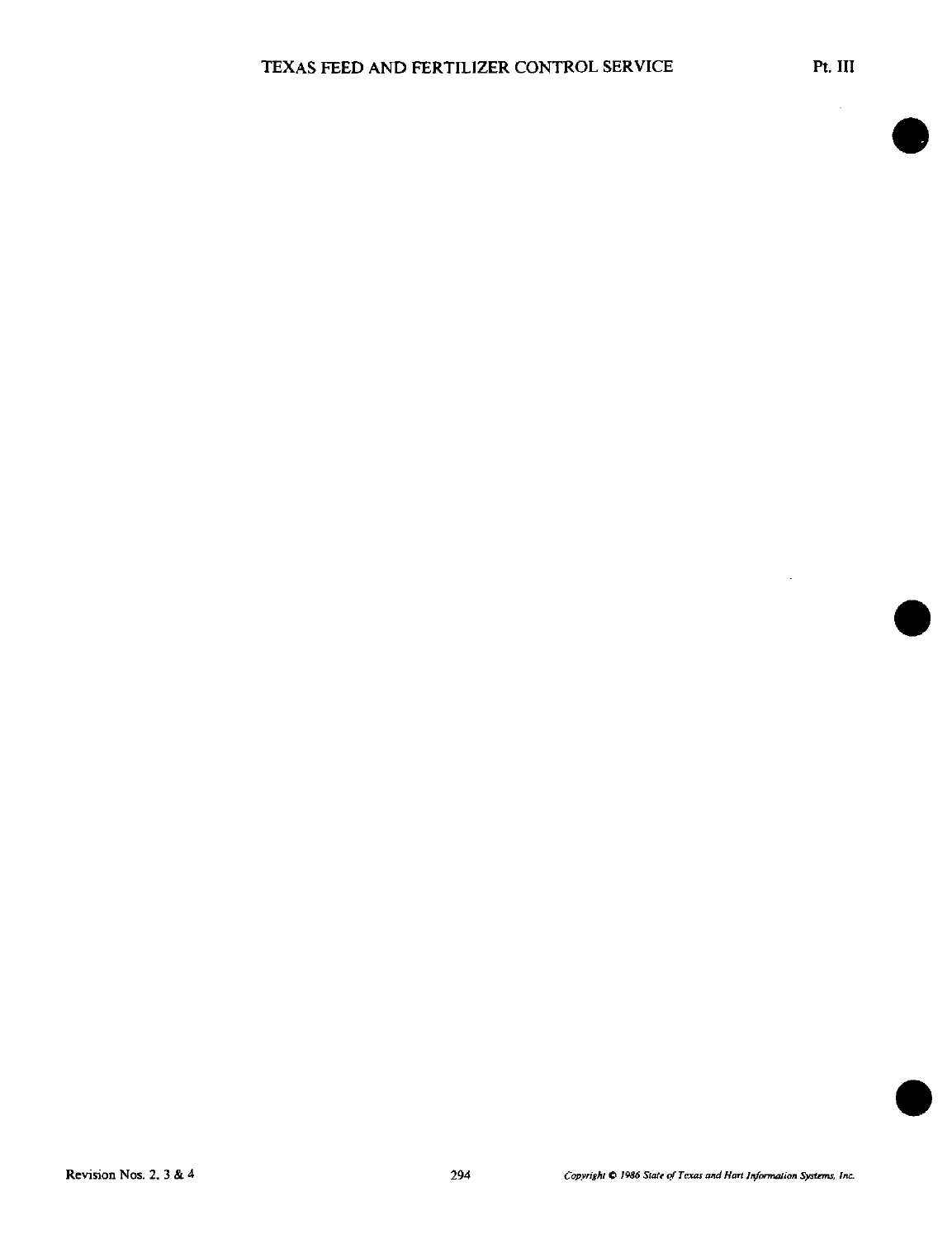$\bar{\mathcal{L}}$ 

 $\overline{a}$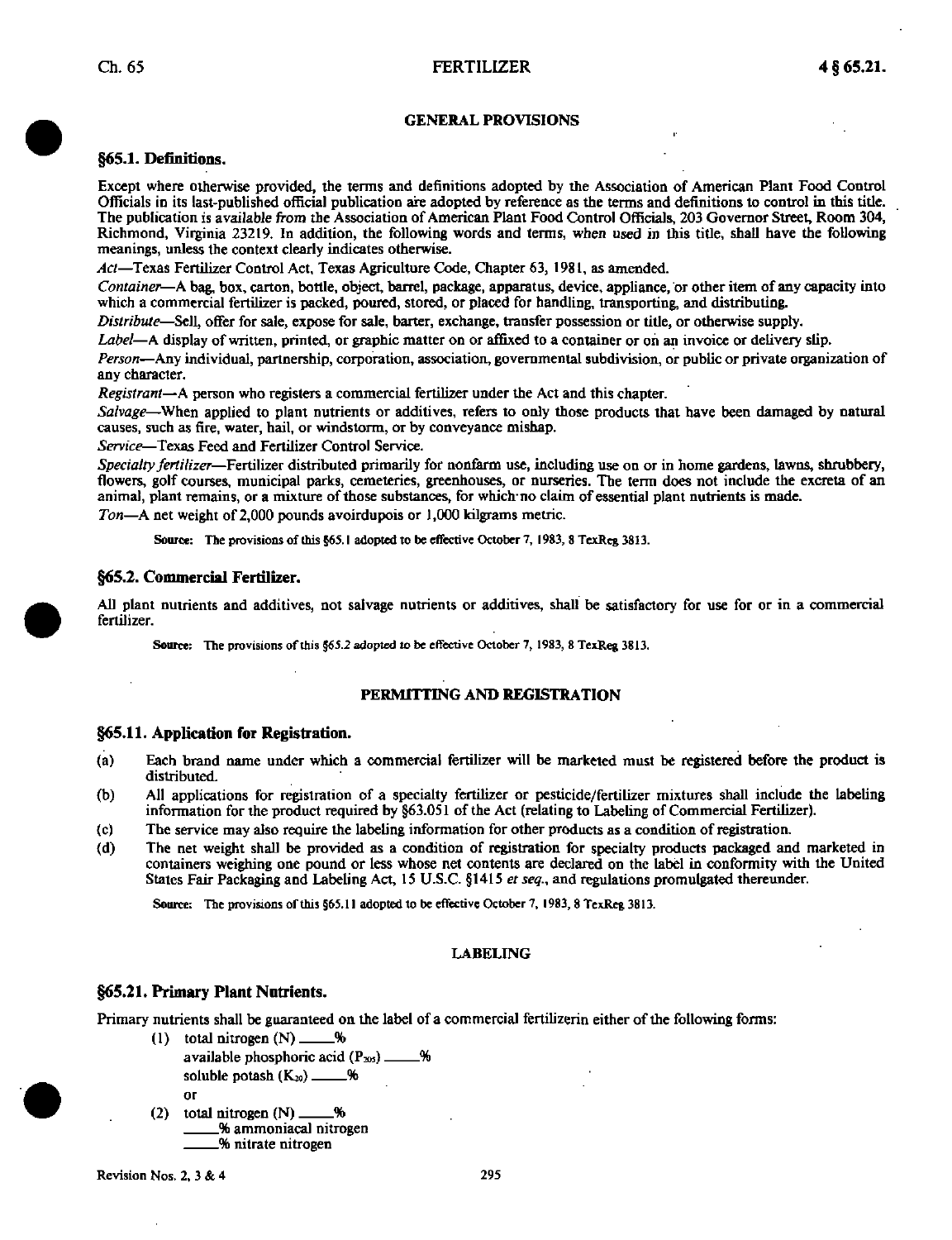### GENERAL PROVISIONS

## §65.1. Definitions.

Except where otherwise provided, the terms and definitions adopted by the Association of American Plant Food Control Officials in its last-published official publication aire adopted by reference as the terms and definitions to control in this title. The publication is available from the Association of American Plant Food Control Officials, 203 Governor Street, Room 304, Richmond, Virginia 23219. In addition, the following words and terms, when used in this title, shall have the following meanings, unless the context clearly indicates otherwise.

Act—Texas Fertilizer Control Act, Texas Agriculture Code, Qiapter 63, 1981, as amended.

Container—A bag, box, carton, bottle, object, barrel, package, apparatus, device, appliance, or other item of any capacity into which a commercial fertilizer is packed, poured, stored, or placed for handling, transporting, and distributing.

Distribute—Sell, offer for sale, expose for sale, barter, exchange, transfer possession or tide, or otherwise supply.

Label—A display of written, printed, or graphic matter on or affixed to a container or on an invoice or delivery slip.

Person—Any individual, partnership, corporation, association, governmental subdivision, or public or private organization of any character.

Registrant—A person who registers a commercial fertilizer under the Act and this chapter.

Salvage—When applied to plant nutrients or additives, refers to only those products that have been damaged by natural causes, such as fire, water, hail, or windstorm, or by convevance mishap.

Service-Texas Feed and Fertilizer Control Service.

Specialty fertilizer—Fertilizer distributed primarily for nonfarm use, including use on or in home gardens, lawns, shrubbery, flowers, golf courses, municipal parks, cemeteries, greenhouses, or nurseries. The term does not include the excreta of an animal, plant remains, or a mixture of those substances, for which no claim of essential plant nutrients is made.

 $T$ on—A net weight of 2,000 pounds avoirdupois or 1,000 kilgrams metric.

 $\frac{1}{2}$  are a net weight of 2,000 pounds avoirdupois or 1,000 kilgrams metric. Source: The provisions of this §65.1 adopted to be effective October 7, 1985, 8 TexReg 3813.

## §65.2. Commercial Fertilizer.

All plant nutrients and additives, not salvage nutrients or additives, shall be satisfactory for use for or in a commercial fertilizer.

Source; The provisions of this \$65.2 adopted to be effective October 7, 1983, 8 TexReg 3813.

## PERMITTING AND REGISTRATION

#### §65.11. Application for Registration.

- (a) Each brand name under which a commercial fertilizer will be marketed must be registered before the product is distributed.
- (b) All applications for registration of a specialty fertilizer or pesticide/fertilizer mixtures shall include the labeling information for the product required by §63.051 of the Act (relating to Labeling of Commercial Fertilizer).
- (c) The service may also require the labeling information for other products as a condition of registration.
- (d) The net weight shall be provided as a condition of registration for specialty products packaged and marketed in containers weighing one pound or less whose net contents are declared on the label in confonnity with the United States Fair Packaging and Labeling Act, 15 U.S.C. § 1415 et seq., and regulations promulgated thereunder.

Source: The provisions of this §65.11 adopted to be effective October 7, 1983, 8 TexReg 3813.

## LABELING

#### §65.21. Primary Plant Nutrients.

Primary nutrients shall be guaranteed on the label of a commercial fertilizerin either of the following forms:

- (1) total nitrogen  $(N)$  \_\_\_\_\_% available phosphoric acid  $(P_{203})$  .... soluble potash  $(K_{20})$  \_\_\_\_\_% or
- (2) total nitrogen  $(N)$  \_\_\_\_% % ammoniacal nitrogen % nitrate nitrogen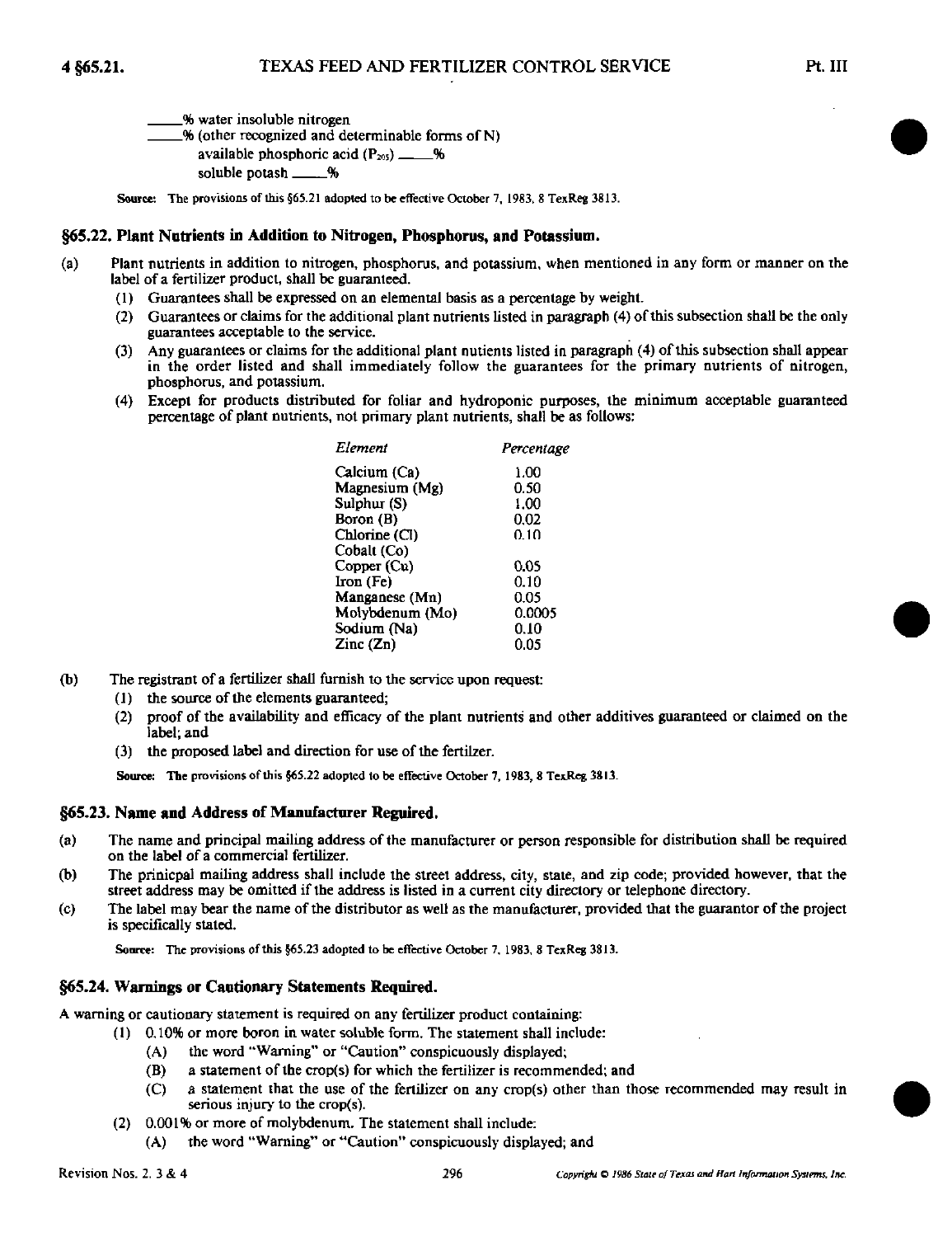% water insoluble nitrogen % (other recognized and determinable forms of N) available phosphoric acid  $(P_{205})$  \_\_\_\_\_% soluble potash  $\_\_\_\$ 

Source: The provisions of this §65.21 adopted to be effective October 7, 1983. 8 TexReg 3813.

#### §65.22. Plant Nutrients in Addition to Nitrogen, Phosphorus, and Potassium.

- (a) Plant nutrients in addition to nitrogen, phosphorus, and potassium, when mentioned in any form or manner on the label of a fertilizer product, shall be guaranteed.
	- (1) Guarantees shall be expressed on an elemental basis as a percentage by weight.
	- (2) Guarantees or claims for the additional plant nutrients Usted in paragraph (4) of this subsection shall be the only guarantees acceptable to the service.
	- (3) Any guarantees or claims for the additional plant nutients listed in paragraph (4) of this subsection shall appear in the order listed and shall immediately follow the guarantees for the primary nutrients of nitrogen, phosphorus, and potassium.
	- (4) Except for products distributed for foliar and hydroponic purposes, the minimum acceptable guaranteed percentage of plant nutrients, not primary plant nutrients, shall be as follows:

| Element         | Percentage |
|-----------------|------------|
| Calcium (Ca)    | 1.00       |
| Magnesium (Mg)  | 0.50       |
| Sulphur (S)     | 1.00       |
| Boron (B)       | 0.02       |
| Chlorine (CI)   | 0.10       |
| Cobalt (Co)     |            |
| Copper (Cu)     | 0.05       |
| Iron (Fe)       | 0.10       |
| Manganese (Mn)  | 0.05       |
| Molybdenum (Mo) | 0.0005     |
| Sodium (Na)     | 0.10       |
| Zinc (Zn)       | 0.05       |

- (b) The registrant of a fertilizer shall furnish to the service upon request:
	- (1) the source of the elements guaranteed;
	- (2) proof of the availability and efficacy of the plant nutrients and other additives guaranteed or claimed on the label; and
	- (3) the proposed label and direction for use of the fertilzer.

Source: The provisions of this §65.22 adopted to be effective October 7, 1983, 8 TexReg 3813.

## §65.23. Name and Address of Manufacturer Reguired.

- (a) The name and principal mailing address of the manufacturer or person responsible for distribution shall be required on the label of a commercial fertilizer.
- (b) The prinicpal mailing address shall include the street address, city, state, and zip code; provided however, that the street address may be omitted if the address is listed in a current city directory or telephone directory.
- (c) The label may bear the name of the distributor as weU as the manufacturer, provided that the guarantor of the project is specifically stated.

Sonrce: The provisions of this §65.23 adopted to be effective October 7, 1983, 8 TexReg 3813.

## §65.24. Warnings or Cautionary Statements Required.

A warning or cautionary- statement is required on any fertilizer product containing:

- (1) 0.10% or more boron in water soluble form. The statement shall include:
	- (A) the word "Warning" or "Caution" conspicuously displayed;
	- (B) a statement of the crop(s) for which the fertilizer is recommended; and
	- (C) a statement that the use of the fertilizer on any crop(s) other than those recommended may result in serious injury to the crop(s).
- (2) 0.001% or more of molybdenum. The statement shall include:
	- (A) the word "Warning" or "Caution" conspicuously displayed; and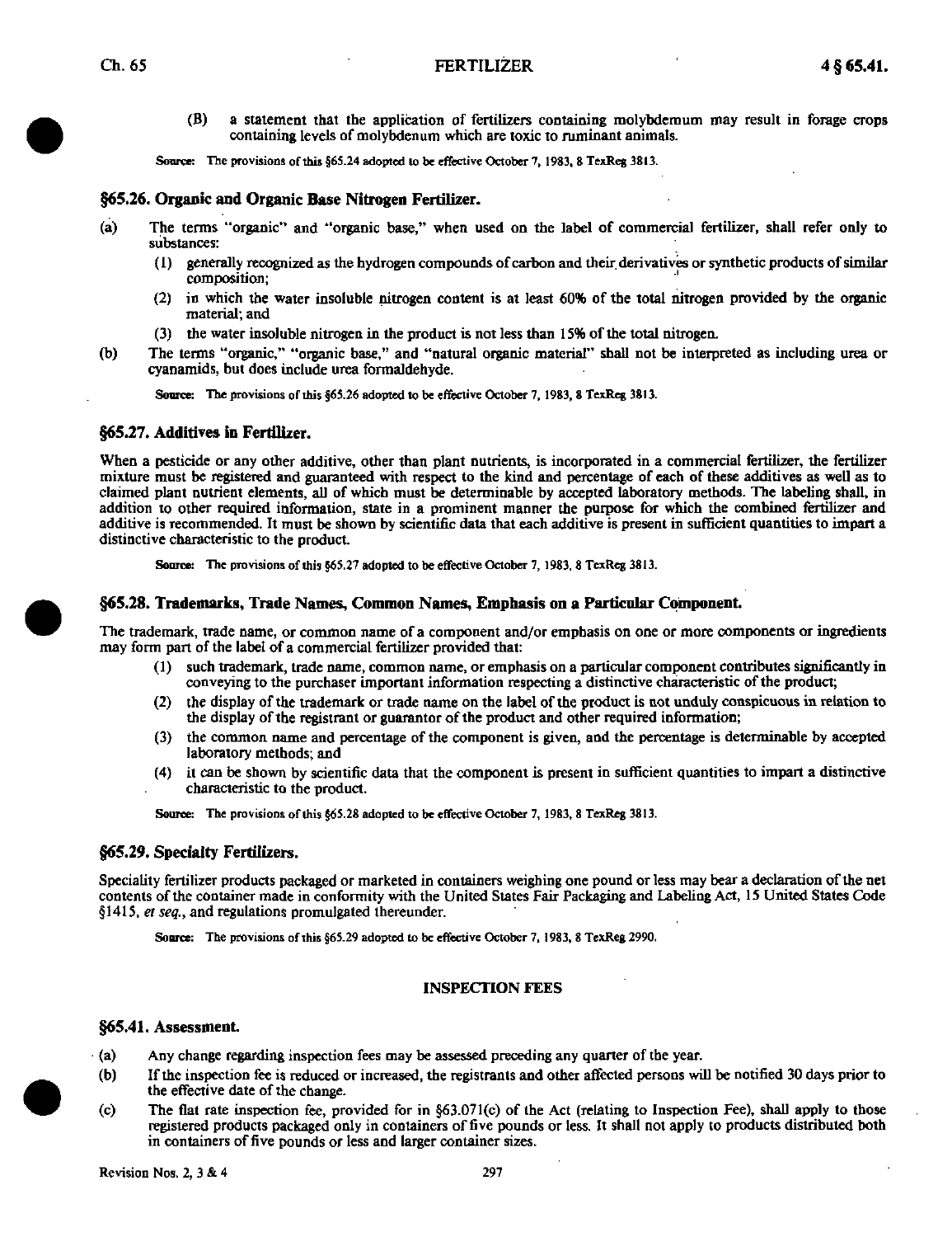(B) a statement that the application of fertilizers containing molybdemum may result in forage crops containing levels of molybdenum which are toxic to ruminant animals.

Source: The provisions of this §65.24 adopted lo be effective October 7, 1983, 8 TexReg 3813.

## §65.26. Organic and Organic Base Nitrogen Fertilizer.

- (a) The terms "organic" and "organic base," when used on the label of commercial fertilizer, shall refer only to substances:
	- (1) generally recognized as the hydrogen compounds of carbon and their, derivatives or synthetic products of similar composition; '
	- (2) in which the water insoluble nitrogen content is at least 60% of the total lutrogen provided by the organic material; and
	- (3) the water insoluble nitrogen in the product is not less than 15% of the total nitrogen.
- (b) The terms "organic," "organic base," and "natural organic material" shall not be interpreted as including urea or cyanamids, but does include urea formaldehyde.

Sonrce: The provisions of this §6S.26 adopted to be effective October 7, 1983, 8 TexReg 3813.

### §65.27. Additives in Fertilizer.

When a pesticide or any other additive, other than plant nutrients, is incorporated in a commercial fertilizer, the fertilizer mixture must be registered and guaranteed with respect to the kind and percentage of each of these additives as weU as to claimed plant nutrient elements, all of which must be determinable by accepted laboratory methods. The labeling shall, in addition to other required information, state in a prominent manner the purpose for which the combined fertilizer and additive is recommended. It must be shown by scientific data that each additive is present in sufficient quantities to impart a distinctive characteristic to the product.

Source: The provisions of this §65.27 adopted to he effective October 7, 1983, 8 TexReg 3813.

#### §65.28. Trademarks, Trade Names, Common Names, Emphasis on a Particular Component.

The trademark, trade name, or common name of a component and/or emphasis on one or more components or ingredients may form part of the label of a commercial fertilizer provided that:

- (1) such trademark, trade name, common name, or emphasis on a particular component contributes significantly in conveying to the purchaser important information respecting a distinctive characteristic of the product;
- (2) the display of the trademark or trade name on the label of the product is not unduly conspicuous in relation to the display of the registrant or guarantor of the product and other required information;
- (3) the common name and percentage of the component is given, and the percentage is determinable by accepted laboratory methods; and
- (4) it can be shown by scientific data that the component is present in sufBcient quantities to impart a distinctive characteristic to the product.

Source: The provisions of this §65.28 adopted to be effective October 7, 1983, 8 TexReg 3813.

#### §65.29. Specialty Fertilizers.

Speciality fertilizer products packaged or marketed in containers weighing one pound or less may bear a declaration of the net contents of the container made in conformity with the United States Fair Packaging and Labeling Act, 15 United States Code §1415, et seq., and regulations promulgated thereunder.

Source: The provisions of this §65.29 adopted to be effective October 7, 1983, 8 TexReg 2990.

#### INSPECTION FEES

#### §65.41. Assessment.

- (a) Any change regarding inspection fees may be assessed preceding any quarter of the year.
- (b) If the inspection fee is reduced or increased, the registrants and other affected persons wiU be notified 30 days prior to the effective date of the change.
- $(c)$  The flat rate inspection fee, provided for in  $\delta$ 63.071(c) of the Act (relating to Inspection Fee), shall apply to those registered products packaged only in containers of five pounds or less. It shall not apply to products distributed both in containers of five pounds or less and larger container sizes.